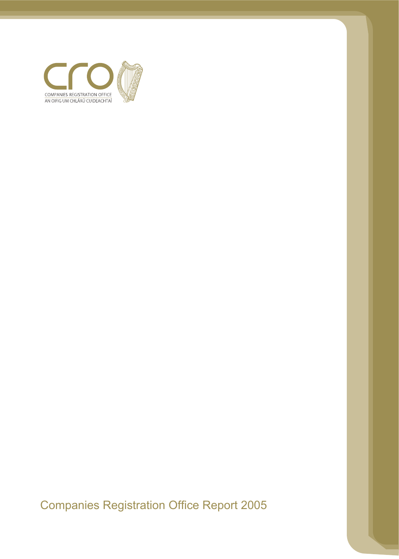

Companies Registration Office Report 2005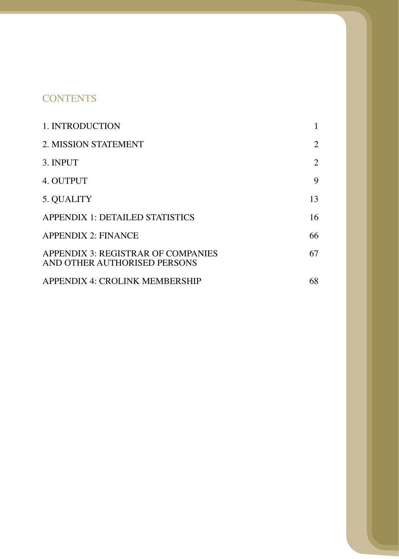# **CONTENTS**

| 1. INTRODUCTION                                                    |                |
|--------------------------------------------------------------------|----------------|
| 2. MISSION STATEMENT                                               | $\overline{2}$ |
| 3. INPUT                                                           | $\overline{2}$ |
| 4. OUTPUT                                                          | 9              |
| 5. QUALITY                                                         | 13             |
| <b>APPENDIX 1: DETAILED STATISTICS</b>                             | 16             |
| <b>APPENDIX 2: FINANCE</b>                                         | 66             |
| APPENDIX 3: REGISTRAR OF COMPANIES<br>AND OTHER AUTHORISED PERSONS | 67             |
| APPENDIX 4: CROLINK MEMBERSHIP                                     | 68             |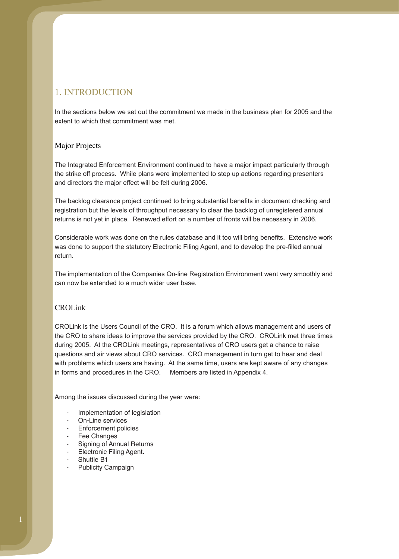## 1. INTRODUCTION

In the sections below we set out the commitment we made in the business plan for 2005 and the extent to which that commitment was met.

## Major Projects

The Integrated Enforcement Environment continued to have a major impact particularly through the strike off process. While plans were implemented to step up actions regarding presenters and directors the major effect will be felt during 2006.

registration but the levels of throughput necessary to clear the backlog of unregistered annual returns is not yet in place. Renewed effort on a number of fronts will be necessary in 2006. The backlog clearance project continued to bring substantial benefits in document checking and

Considerable work was done on the rules database and it too will bring benefits. Extensive work return. was done to support the statutory Electronic Filing Agent, and to develop the pre-filled annual

The implementation of the Companies On-line Registration Environment went very smoothly and can now be extended to a much wider user base.

## CROLink

CROLink is the Users Council of the CRO. It is a forum which allows management and users of the CRO to share ideas to improve the services provided by the CRO. CROLink met three times during 2005. At the CROLink meetings, representatives of CRO users get a chance to raise questions and air views about CRO services. CRO management in turn get to hear and deal with problems which users are having. At the same time, users are kept aware of any changes in forms and procedures in the CRO. Members are listed in Appendix 4.

Among the issues discussed during the year were:

- Implementation of legislation
- On-Line services
- Enforcement policies
- Fee Changes
- Signing of Annual Returns
- Electronic Filing Agent.
- Shuttle B1
- Publicity Campaign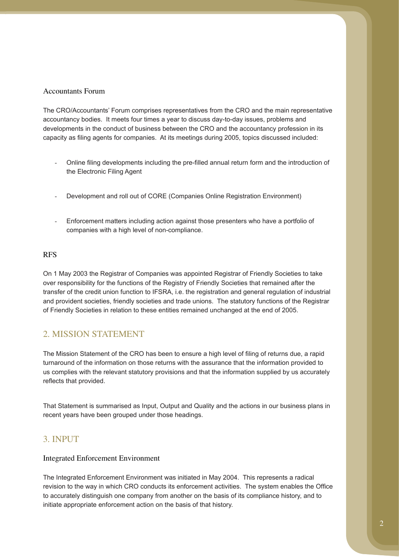### Accountants Forum

accountancy bodies. It meets four times a year to discuss day-to-day issues, problems and developments in the conduct of business between the CRO and the accountancy profession in its capacity as filing agents for companies. At its meetings during 2005, topics discussed included: The CRO/Accountants' Forum comprises representatives from the CRO and the main representative

- Online filing developments including the pre-filled annual return form and the introduction of the Electronic Filing Agent
- Development and roll out of CORE (Companies Online Registration Environment)
- Enforcement matters including action against those presenters who have a portfolio of companies with a high level of non-compliance.

### RFS

On 1 May 2003 the Registrar of Companies was appointed Registrar of Friendly Societies to take over responsibility for the functions of the Registry of Friendly Societies that remained after the transfer of the credit union function to IFSRA, i.e. the registration and general regulation of industrial and provident societies, friendly societies and trade unions. The statutory functions of the Registrar of Friendly Societies in relation to these entities remained unchanged at the end of 2005.

## 2. MISSION STATEMENT

turnaround of the information on those returns with the assurance that the information provided to us complies with the relevant statutory provisions and that the information supplied by us accurately reflects that provided. The Mission Statement of the CRO has been to ensure a high level of filing of returns due, a rapid

That Statement is summarised as Input, Output and Quality and the actions in our business plans in recent years have been grouped under those headings.

## 3. INPUT

## Integrated Enforcement Environment

The Integrated Enforcement Environment was initiated in May 2004. This represents a radical revision to the way in which CRO conducts its enforcement activities. The system enables the Office to accurately distinguish one company from another on the basis of its compliance history, and to initiate appropriate enforcement action on the basis of that history.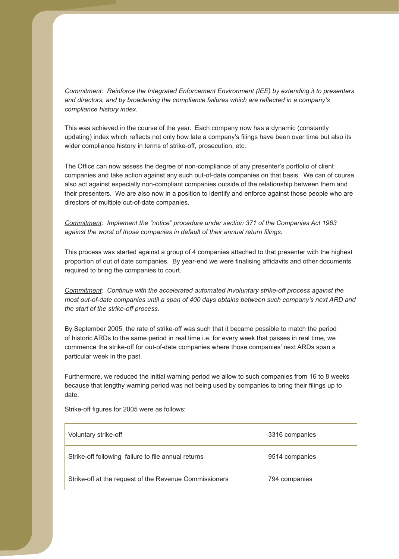*Reinforce the Integrated Enforcement Environment (IEE) by extending it to presenters Commitment: compliance history index. and directors, and by broadening the compliance failures which are reflected in a company's* 

This was achieved in the course of the year. Each company now has a dynamic (constantly updating) index which reflects not only how late a company's filings have been over time but also its wider compliance history in terms of strike-off, prosecution, etc.

companies and take action against any such out-of-date companies on that basis. We can of course also act against especially non-compliant companies outside of the relationship between them and their presenters. We are also now in a position to identify and enforce against those people who are directors of multiple out-of-date companies. The Office can now assess the degree of non-compliance of any presenter's portfolio of client

*Commitment: Implement the "notice" procedure under section 371 of the Companies Act 1963 against the worst of those companies in default of their annual return filings.* 

This process was started against a group of 4 companies attached to that presenter with the highest proportion of out of date companies. By year-end we were finalising affidavits and other documents required to bring the companies to court.

*Continue with the accelerated automated involuntary strike-off process against the Commitment: the start of the strike-off process. most out-of-date companies until a span of 400 days obtains between such company's next ARD and* 

particular week in the past. By September 2005, the rate of strike-off was such that it became possible to match the period of historic ARDs to the same period in real time i.e. for every week that passes in real time, we commence the strike-off for out-of-date companies where those companies' next ARDs span a

Furthermore, we reduced the initial warning period we allow to such companies from 16 to 8 weeks date. because that lengthy warning period was not being used by companies to bring their filings up to

| Voluntary strike-off                                   | 3316 companies |
|--------------------------------------------------------|----------------|
| Strike-off following failure to file annual returns    | 9514 companies |
| Strike-off at the request of the Revenue Commissioners | 794 companies  |

Strike-off figures for 2005 were as follows: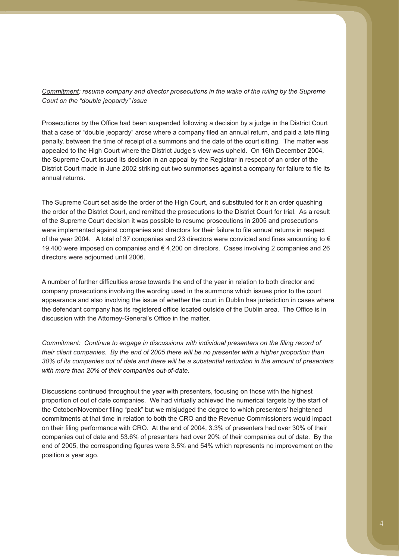*Court on the "double jeopardy" issue Commitment: resume company and director prosecutions in the wake of the ruling by the Supreme* 

penalty, between the time of receipt of a summons and the date of the court sitting. The matter was appealed to the High Court where the District Judge's view was upheld. On 16th December 2004, the Supreme Court issued its decision in an appeal by the Registrar in respect of an order of the annual returns. Prosecutions by the Office had been suspended following a decision by a judge in the District Court that a case of "double jeopardy" arose where a company filed an annual return, and paid a late filing District Court made in June 2002 striking out two summonses against a company for failure to file its

The Supreme Court set aside the order of the High Court, and substituted for it an order quashing the order of the District Court, and remitted the prosecutions to the District Court for trial. As a result of the Supreme Court decision it was possible to resume prosecutions in 2005 and prosecutions of the year 2004. A total of 37 companies and 23 directors were convicted and fines amounting to € 19,400 were imposed on companies and € 4,200 on directors. Cases involving 2 companies and 26 directors were adjourned until 2006. were implemented against companies and directors for their failure to file annual returns in respect

company prosecutions involving the wording used in the summons which issues prior to the court appearance and also involving the issue of whether the court in Dublin has jurisdiction in cases where the defendant company has its registered office located outside of the Dublin area. The Office is in A number of further difficulties arose towards the end of the year in relation to both director and discussion with the Attorney-General's Office in the matter.

*their client companies. By the end of 2005 there will be no presenter with a higher proportion than 30% of its companies out of date and there will be a substantial reduction in the amount of presenters with more than 20% of their companies out-of-date. Commitment: Continue to engage in discussions with individual presenters on the filing record of* 

Discussions continued throughout the year with presenters, focusing on those with the highest proportion of out of date companies. We had virtually achieved the numerical targets by the start of commitments at that time in relation to both the CRO and the Revenue Commissioners would impact on their filing performance with CRO. At the end of 2004, 3.3% of presenters had over 30% of their companies out of date and 53.6% of presenters had over 20% of their companies out of date. By the position a year ago. the October/November filing "peak" but we misjudged the degree to which presenters' heightened end of 2005, the corresponding figures were 3.5% and 54% which represents no improvement on the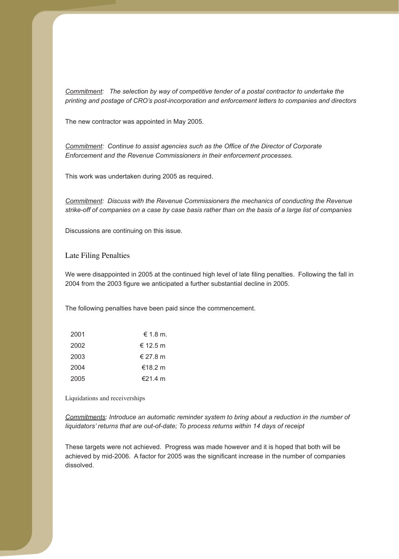*The selection by way of competitive tender of a postal contractor to undertake the Commitment: printing and postage of CRO's post-incorporation and enforcement letters to companies and directors* 

The new contractor was appointed in May 2005.

*Enforcement and the Revenue Commissioners in their enforcement processes. Commitment: Continue to assist agencies such as the Office of the Director of Corporate* 

This work was undertaken during 2005 as required.

*Discuss with the Revenue Commissioners the mechanics of conducting the Revenue Commitment: strike-off of companies on a case by case basis rather than on the basis of a large list of companies* 

Discussions are continuing on this issue.

#### Late Filing Penalties

We were disappointed in 2005 at the continued high level of late filing penalties. Following the fall in 2004 from the 2003 figure we anticipated a further substantial decline in 2005.

The following penalties have been paid since the commencement.

| 2001 | $\epsilon$ 1.8 m. |
|------|-------------------|
| 2002 | € 12.5 m          |
| 2003 | € 27.8 m          |
| 2004 | €18.2 m           |
| 2005 | €21.4 m           |

Liquidations and receiverships

*Commitments: Introduce an automatic reminder system to bring about a reduction in the number of liquidators' returns that are out-of-date; To process returns within 14 days of receipt* 

These targets were not achieved. Progress was made however and it is hoped that both will be achieved by mid-2006. A factor for 2005 was the significant increase in the number of companies dissolved.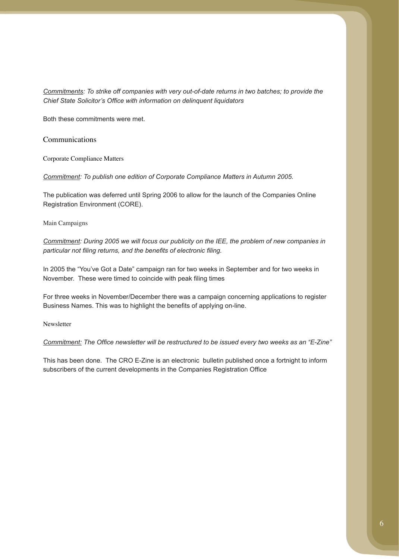*Commitments: To strike off companies with very out-of-date returns in two batches; to provide the Chief State Solicitor's Office with information on delinquent liquidators* 

Both these commitments were met.

Communications

Corporate Compliance Matters

*Commitment: To publish one edition of Corporate Compliance Matters in Autumn 2005.* 

The publication was deferred until Spring 2006 to allow for the launch of the Companies Online Registration Environment (CORE).

Main Campaigns

*Commitment: During 2005 we will focus our publicity on the IEE, the problem of new companies in particular not filing returns, and the benefits of electronic filing.* 

In 2005 the "You've Got a Date" campaign ran for two weeks in September and for two weeks in November. These were timed to coincide with peak filing times

For three weeks in November/December there was a campaign concerning applications to register Business Names. This was to highlight the benefits of applying on-line.

Newsletter

*Commitment: The Office newsletter will be restructured to be issued every two weeks as an "E-Zine"* 

This has been done. The CRO E-Zine is an electronic bulletin published once a fortnight to inform subscribers of the current developments in the Companies Registration Office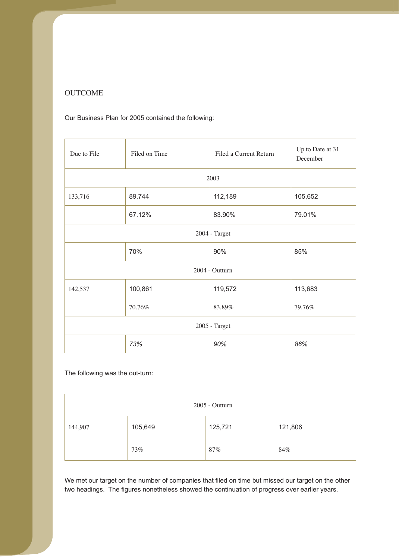## **OUTCOME**

Our Business Plan for 2005 contained the following:

| Due to File | Filed on Time | Filed a Current Return | Up to Date at 31<br>December |
|-------------|---------------|------------------------|------------------------------|
|             |               | 2003                   |                              |
| 133,716     | 89,744        | 112,189                | 105,652                      |
|             | 67.12%        | 83.90%                 | 79.01%                       |
|             | 2004 - Target |                        |                              |
|             | 70%           | 90%                    | 85%                          |
|             |               | 2004 - Outturn         |                              |
| 142,537     | 100,861       | 119,572                | 113,683                      |
|             | 70.76%        | 83.89%                 | 79.76%                       |
|             |               | 2005 - Target          |                              |
|             | 73%           | 90%                    | 86%                          |

The following was the out-turn:

| 2005 - Outturn |         |         |         |
|----------------|---------|---------|---------|
| 144,907        | 105,649 | 125,721 | 121,806 |
|                | 73%     | $87\%$  | 84%     |

two headings. The figures nonetheless showed the continuation of progress over earlier years. We met our target on the number of companies that filed on time but missed our target on the other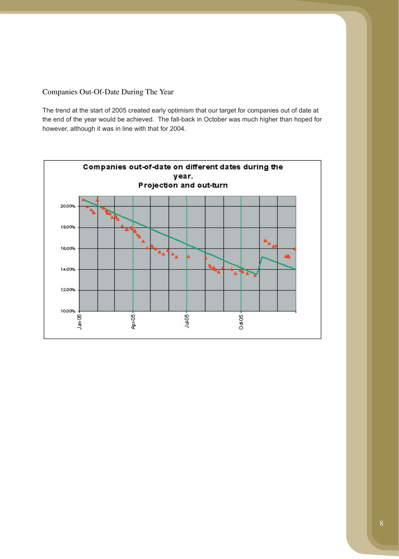Companies Out-Of-Date During The Year

The trend at the start of 2005 created early optimism that our target for companies out of date at the end of the year would be achieved. The fall-back in October was much higher than hoped for however, although it was in line with that for 2004.

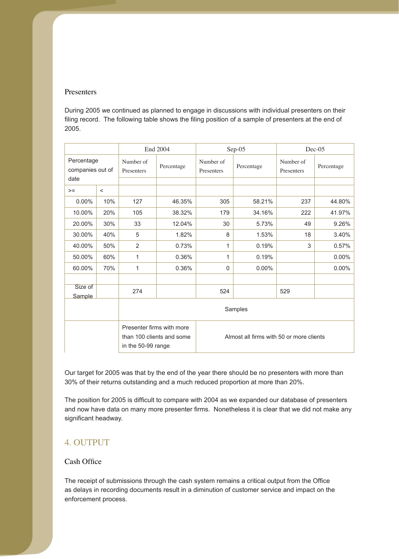### Presenters

During 2005 we continued as planned to engage in discussions with individual presenters on their filing record. The following table shows the filing position of a sample of presenters at the end of 2005.

|                                |        | End 2004                |                                                        |                                          | Sep-05     |                         | $Dec-05$   |
|--------------------------------|--------|-------------------------|--------------------------------------------------------|------------------------------------------|------------|-------------------------|------------|
| Percentage<br>companies out of |        | Number of<br>Presenters | Percentage                                             | Number of<br>Presenters                  | Percentage | Number of<br>Presenters | Percentage |
| date                           |        |                         |                                                        |                                          |            |                         |            |
| $>=$                           | $\,<$  |                         |                                                        |                                          |            |                         |            |
| $0.00\%$                       | 10%    | 127                     | 46.35%                                                 | 305                                      | 58.21%     | 237                     | 44.80%     |
| 10.00%                         | 20%    | 105                     | 38.32%                                                 | 179                                      | 34.16%     | 222                     | 41.97%     |
| 20.00%                         | 30%    | 33                      | 12.04%                                                 | 30                                       | 5.73%      | 49                      | 9.26%      |
| 30.00%                         | 40%    | 5                       | 1.82%                                                  | 8                                        | 1.53%      | 18                      | 3.40%      |
| 40.00%                         | 50%    | 2                       | 0.73%                                                  | 1                                        | 0.19%      | 3                       | 0.57%      |
| 50.00%                         | 60%    | 1                       | 0.36%                                                  | 1                                        | 0.19%      |                         | 0.00%      |
| 60.00%                         | 70%    | 1                       | 0.36%                                                  | $\mathbf 0$                              | $0.00\%$   |                         | $0.00\%$   |
|                                |        |                         |                                                        |                                          |            |                         |            |
| Size of                        |        | 274                     |                                                        | 524                                      |            | 529                     |            |
|                                | Sample |                         |                                                        |                                          |            |                         |            |
|                                |        | Samples                 |                                                        |                                          |            |                         |            |
|                                |        | in the 50-99 range      | Presenter firms with more<br>than 100 clients and some | Almost all firms with 50 or more clients |            |                         |            |

Our target for 2005 was that by the end of the year there should be no presenters with more than 30% of their returns outstanding and a much reduced proportion at more than 20%.

and now have data on many more presenter firms. Nonetheless it is clear that we did not make any The position for 2005 is difficult to compare with 2004 as we expanded our database of presenters significant headway.

## 4. OUTPUT

## Cash Office

as delays in recording documents result in a diminution of customer service and impact on the enforcement process. The receipt of submissions through the cash system remains a critical output from the Office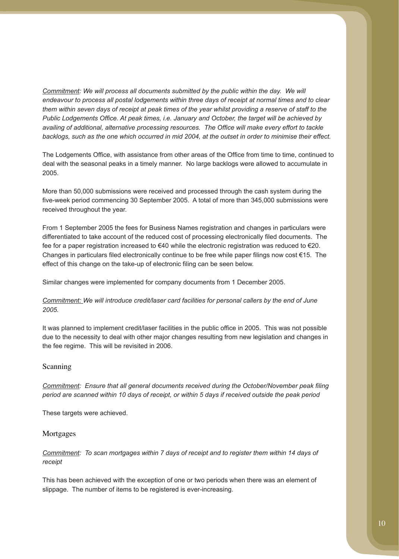*endeavour to process all postal lodgements within three days of receipt at normal times and to clear them within seven days of receipt at peak times of the year whilst providing a reserve of staff to the availing of additional, alternative processing resources. The Office will make every effort to tackle backlogs, such as the one which occurred in mid 2004, at the outset in order to minimise their effect. Commitment: We will process all documents submitted by the public within the day. We will Public Lodgements Office. At peak times, i.e. January and October, the target will be achieved by* 

deal with the seasonal peaks in a timely manner. No large backlogs were allowed to accumulate in 2005. The Lodgements Office, with assistance from other areas of the Office from time to time, continued to

More than 50,000 submissions were received and processed through the cash system during the five-week period commencing 30 September 2005. A total of more than 345,000 submissions were received throughout the year.

From 1 September 2005 the fees for Business Names registration and changes in particulars were differentiated to take account of the reduced cost of processing electronically filed documents. The fee for a paper registration increased to €40 while the electronic registration was reduced to €20. Changes in particulars filed electronically continue to be free while paper filings now cost  $\epsilon$ 15. The effect of this change on the take-up of electronic filing can be seen below.

Similar changes were implemented for company documents from 1 December 2005.

### *2005. Commitment: We will introduce credit/laser card facilities for personal callers by the end of June*

It was planned to implement credit/laser facilities in the public office in 2005. This was not possible due to the necessity to deal with other major changes resulting from new legislation and changes in the fee regime. This will be revisited in 2006.

#### Scanning

*period are scanned within 10 days of receipt, or within 5 days if received outside the peak period Commitment: Ensure that all general documents received during the October/November peak filing* 

These targets were achieved.

#### Mortgages

*receipt Commitment: To scan mortgages within 7 days of receipt and to register them within 14 days of* 

This has been achieved with the exception of one or two periods when there was an element of slippage. The number of items to be registered is ever-increasing.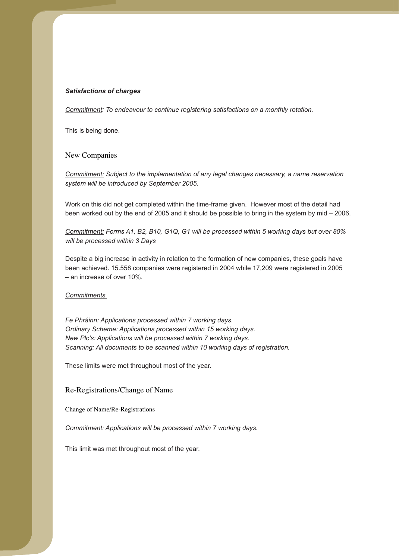#### *Satisfactions of charges*

*Commitment: To endeavour to continue registering satisfactions on a monthly rotation.* 

This is being done.

#### New Companies

*system will be introduced by September 2005. Commitment: Subject to the implementation of any legal changes necessary, a name reservation* 

Work on this did not get completed within the time-frame given. However most of the detail had been worked out by the end of 2005 and it should be possible to bring in the system by mid – 2006.

*will be processed within 3 Days Commitment: Forms A1, B2, B10, G1Q, G1 will be processed within 5 working days but over 80%* 

Despite a big increase in activity in relation to the formation of new companies, these goals have been achieved. 15.558 companies were registered in 2004 while 17,209 were registered in 2005 – an increase of over 10%.

*Commitments* 

*Fe Phráinn: Applications processed within 7 working days. Ordinary Scheme: Applications processed within 15 working days. New Plc's: Applications will be processed within 7 working days. Scanning: All documents to be scanned within 10 working days of registration.* 

These limits were met throughout most of the year.

#### Re-Registrations/Change of Name

Change of Name/Re-Registrations

*Commitment: Applications will be processed within 7 working days.* 

This limit was met throughout most of the year.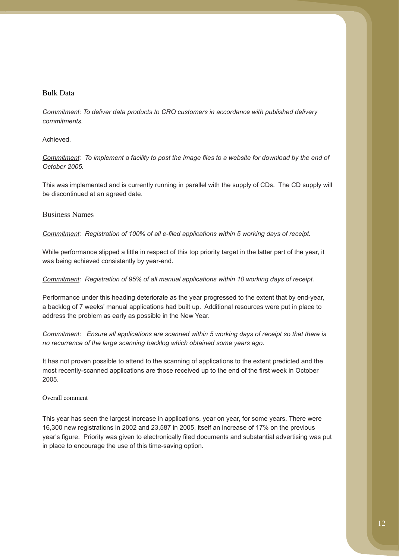### Bulk Data

*commitments. Commitment: To deliver data products to CRO customers in accordance with published delivery* 

### Achieved.

*October 2005. Commitment: To implement a facility to post the image files to a website for download by the end of* 

This was implemented and is currently running in parallel with the supply of CDs. The CD supply will be discontinued at an agreed date.

### Business Names

*Commitment: Registration of 100% of all e-filed applications within 5 working days of receipt.* 

was being achieved consistently by year-end. While performance slipped a little in respect of this top priority target in the latter part of the year, it

*Registration of 95% of all manual applications within 10 working days of receipt. Commitment:* 

a backlog of 7 weeks' manual applications had built up. Additional resources were put in place to Performance under this heading deteriorate as the year progressed to the extent that by end-year, address the problem as early as possible in the New Year.

*Ensure all applications are scanned within 5 working days of receipt so that there is Commitment: no recurrence of the large scanning backlog which obtained some years ago.* 

It has not proven possible to attend to the scanning of applications to the extent predicted and the 2005. most recently-scanned applications are those received up to the end of the first week in October

### Overall comment

16,300 new registrations in 2002 and 23,587 in 2005, itself an increase of 17% on the previous in place to encourage the use of this time-saving option. This year has seen the largest increase in applications, year on year, for some years. There were year's figure. Priority was given to electronically filed documents and substantial advertising was put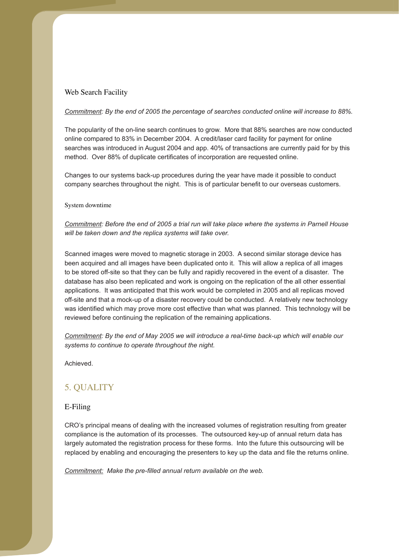## Web Search Facility

#### *Commitment: By the end of 2005 the percentage of searches conducted online will increase to 88%.*

The popularity of the on-line search continues to grow. More that 88% searches are now conducted online compared to 83% in December 2004. A credit/laser card facility for payment for online method. Over 88% of duplicate certificates of incorporation are requested online. searches was introduced in August 2004 and app. 40% of transactions are currently paid for by this

Changes to our systems back-up procedures during the year have made it possible to conduct company searches throughout the night. This is of particular benefit to our overseas customers.

#### System downtime

*Commitment: Before the end of 2005 a trial run will take place where the systems in Parnell House will be taken down and the replica systems will take over.* 

Scanned images were moved to magnetic storage in 2003. A second similar storage device has been acquired and all images have been duplicated onto it. This will allow a replica of all images to be stored off-site so that they can be fully and rapidly recovered in the event of a disaster. The database has also been replicated and work is ongoing on the replication of the all other essential applications. It was anticipated that this work would be completed in 2005 and all replicas moved was identified which may prove more cost effective than what was planned. This technology will be reviewed before continuing the replication of the remaining applications. off-site and that a mock-up of a disaster recovery could be conducted. A relatively new technology

*systems to continue to operate throughout the night. Commitment: By the end of May 2005 we will introduce a real-time back-up which will enable our* 

Achieved.

## 5. QUALITY

### E-Filing

compliance is the automation of its processes. The outsourced key-up of annual return data has largely automated the registration process for these forms. Into the future this outsourcing will be CRO's principal means of dealing with the increased volumes of registration resulting from greater replaced by enabling and encouraging the presenters to key up the data and file the returns online.

*Commitment: Make the pre-filled annual return available on the web.*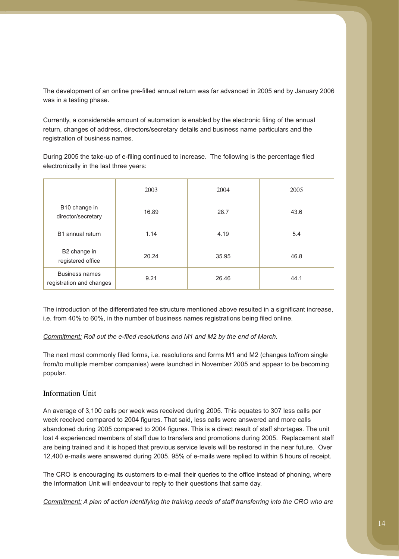was in a testing phase. The development of an online pre-filled annual return was far advanced in 2005 and by January 2006

return, changes of address, directors/secretary details and business name particulars and the registration of business names. Currently, a considerable amount of automation is enabled by the electronic filing of the annual

electronically in the last three years: During 2005 the take-up of e-filing continued to increase. The following is the percentage filed

|                                            | 2003  | 2004  | 2005 |
|--------------------------------------------|-------|-------|------|
| B10 change in<br>director/secretary        | 16.89 | 28.7  | 43.6 |
| B1 annual return                           | 1.14  | 4.19  | 5.4  |
| B2 change in<br>registered office          | 20.24 | 35.95 | 46.8 |
| Business names<br>registration and changes | 9.21  | 26.46 | 44.1 |

The introduction of the differentiated fee structure mentioned above resulted in a significant increase, i.e. from 40% to 60%, in the number of business names registrations being filed online.

### *Commitment: Roll out the e-filed resolutions and M1 and M2 by the end of March.*

from/to multiple member companies) were launched in November 2005 and appear to be becoming The next most commonly filed forms, i.e. resolutions and forms M1 and M2 (changes to/from single popular.

### Information Unit

are being trained and it is hoped that previous service levels will be restored in the near future. Over 12,400 e-mails were answered during 2005. 95% of e-mails were replied to within 8 hours of receipt. An average of 3,100 calls per week was received during 2005. This equates to 307 less calls per week received compared to 2004 figures. That said, less calls were answered and more calls abandoned during 2005 compared to 2004 figures. This is a direct result of staff shortages. The unit lost 4 experienced members of staff due to transfers and promotions during 2005. Replacement staff

The CRO is encouraging its customers to e-mail their queries to the office instead of phoning, where the Information Unit will endeavour to reply to their questions that same day.

*Commitment: A plan of action identifying the training needs of staff transferring into the CRO who are*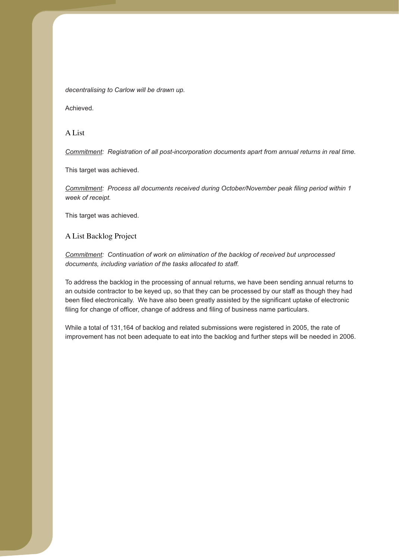*decentralising to Carlow will be drawn up.* 

Achieved.

A List

*Registration of all post-incorporation documents apart from annual returns in real time. Commitment:* 

This target was achieved.

*week of receipt. Commitment: Process all documents received during October/November peak filing period within 1* 

This target was achieved.

A List Backlog Project

*Continuation of work on elimination of the backlog of received but unprocessed Commitment: documents, including variation of the tasks allocated to staff.* 

To address the backlog in the processing of annual returns, we have been sending annual returns to an outside contractor to be keyed up, so that they can be processed by our staff as though they had been filed electronically. We have also been greatly assisted by the significant uptake of electronic filing for change of officer, change of address and filing of business name particulars.

While a total of 131,164 of backlog and related submissions were registered in 2005, the rate of improvement has not been adequate to eat into the backlog and further steps will be needed in 2006.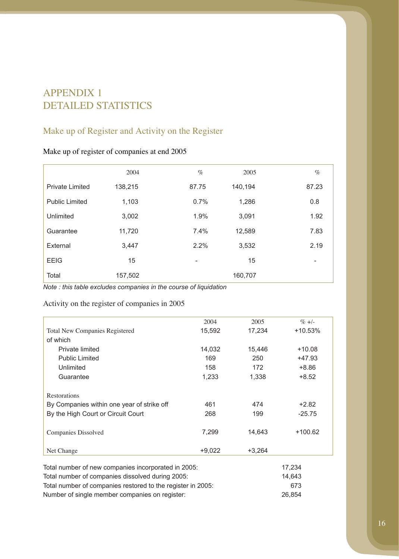# APPENDIX 1 DETAILED STATISTICS

# Make up of Register and Activity on the Register

| Make up of register of companies at end 2005 |  |  |
|----------------------------------------------|--|--|
|----------------------------------------------|--|--|

|                        | 2004    | $\%$  | 2005    | $\%$                     |
|------------------------|---------|-------|---------|--------------------------|
| <b>Private Limited</b> | 138,215 | 87.75 | 140,194 | 87.23                    |
| <b>Public Limited</b>  | 1,103   | 0.7%  | 1,286   | 0.8                      |
| Unlimited              | 3,002   | 1.9%  | 3,091   | 1.92                     |
| Guarantee              | 11,720  | 7.4%  | 12,589  | 7.83                     |
| External               | 3,447   | 2.2%  | 3,532   | 2.19                     |
| <b>EEIG</b>            | 15      |       | 15      | $\overline{\phantom{a}}$ |
| Total                  | 157,502 |       | 160,707 |                          |

*Note : this table excludes companies in the course of liquidation* 

## Activity on the register of companies in 2005

|                                                     | 2004                                                        | 2005     | $\% +/-$  |
|-----------------------------------------------------|-------------------------------------------------------------|----------|-----------|
| <b>Total New Companies Registered</b>               | 15,592                                                      | 17,234   | +10.53%   |
| of which                                            |                                                             |          |           |
| Private limited                                     | 14,032                                                      | 15,446   | $+10.08$  |
| <b>Public Limited</b>                               | 169                                                         | 250      | +47.93    |
| Unlimited                                           | 158                                                         | 172      | $+8.86$   |
| Guarantee                                           | 1,233                                                       | 1,338    | $+8.52$   |
|                                                     |                                                             |          |           |
| Restorations                                        |                                                             |          |           |
| By Companies within one year of strike off          | 461                                                         | 474      | $+2.82$   |
| By the High Court or Circuit Court                  | 268                                                         | 199      | $-25.75$  |
|                                                     |                                                             |          |           |
| <b>Companies Dissolved</b>                          | 7,299                                                       | 14,643   | $+100.62$ |
|                                                     |                                                             |          |           |
| Net Change                                          | $+9,022$                                                    | $+3,264$ |           |
|                                                     |                                                             |          |           |
| Total number of new companies incorporated in 2005: |                                                             | 17,234   |           |
| Total number of companies dissolved during 2005:    |                                                             |          | 14,643    |
|                                                     | Total number of companies restored to the register in 2005: |          |           |

Number of single member companies on register: 26,854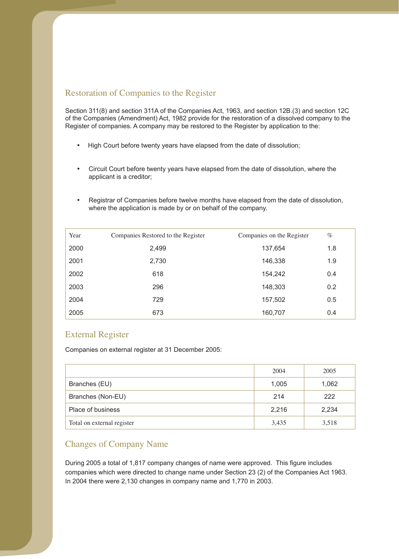## Restoration of Companies to the Register

Section 311(8) and section 311A of the Companies Act, 1963, and section 12B.(3) and section 12C of the Companies (Amendment) Act, 1982 provide for the restoration of a dissolved company to the Register of companies. A company may be restored to the Register by application to the:

- High Court before twenty years have elapsed from the date of dissolution;
- Circuit Court before twenty years have elapsed from the date of dissolution, where the applicant is a creditor;
- Registrar of Companies before twelve months have elapsed from the date of dissolution, where the application is made by or on behalf of the company.

| Year | Companies Restored to the Register | Companies on the Register | $\%$ |
|------|------------------------------------|---------------------------|------|
| 2000 | 2,499                              | 137,654                   | 1.8  |
| 2001 | 2,730                              | 146,338                   | 1.9  |
| 2002 | 618                                | 154,242                   | 0.4  |
| 2003 | 296                                | 148,303                   | 0.2  |
| 2004 | 729                                | 157,502                   | 0.5  |
| 2005 | 673                                | 160,707                   | 0.4  |

## External Register

Companies on external register at 31 December 2005:

|                            | 2004  | 2005  |
|----------------------------|-------|-------|
| Branches (EU)              | 1,005 | 1,062 |
| Branches (Non-EU)          | 214   | 222   |
| Place of business          | 2,216 | 2,234 |
| Total on external register | 3,435 | 3,518 |

## Changes of Company Name

During 2005 a total of 1,817 company changes of name were approved. This figure includes In 2004 there were 2,130 changes in company name and 1,770 in 2003. companies which were directed to change name under Section 23 (2) of the Companies Act 1963.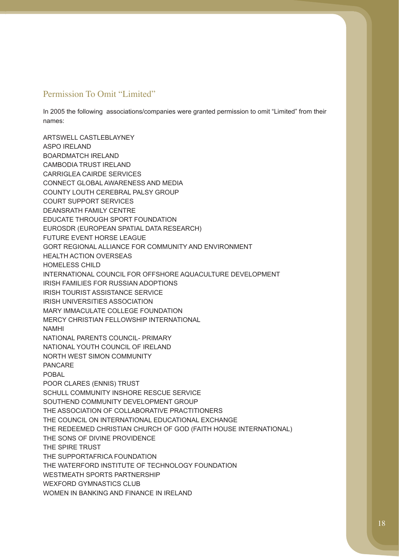## Permission To Omit "Limited"

In 2005 the following associations/companies were granted permission to omit "Limited" from their names:

ASPO IRELAND HOMELESS CHILD NAMHI POBAL THE SONS OF DIVINE PROVIDENCE WEXFORD GYMNASTICS CLUB ARTSWELL CASTLEBLAYNEY BOARDMATCH IRELAND CAMBODIA TRUST IRELAND CARRIGLEA CAIRDE SERVICES CONNECT GLOBAL AWARENESS AND MEDIA COUNTY LOUTH CEREBRAL PALSY GROUP COURT SUPPORT SERVICES DEANSRATH FAMILY CENTRE EDUCATE THROUGH SPORT FOUNDATION EUROSDR (EUROPEAN SPATIAL DATA RESEARCH) FUTURE EVENT HORSE LEAGUE GORT REGIONAL ALLIANCE FOR COMMUNITY AND ENVIRONMENT HEALTH ACTION OVERSEAS INTERNATIONAL COUNCIL FOR OFFSHORE AQUACULTURE DEVELOPMENT IRISH FAMILIES FOR RUSSIAN ADOPTIONS IRISH TOURIST ASSISTANCE SERVICE IRISH UNIVERSITIES ASSOCIATION MARY IMMACULATE COLLEGE FOUNDATION MERCY CHRISTIAN FELLOWSHIP INTERNATIONAL NATIONAL PARENTS COUNCIL- PRIMARY NATIONAL YOUTH COUNCIL OF IRELAND NORTH WEST SIMON COMMUNITY PANCARE POOR CLARES (ENNIS) TRUST SCHULL COMMUNITY INSHORE RESCUE SERVICE SOUTHEND COMMUNITY DEVELOPMENT GROUP THE ASSOCIATION OF COLLABORATIVE PRACTITIONERS THE COUNCIL ON INTERNATIONAL EDUCATIONAL EXCHANGE THE REDEEMED CHRISTIAN CHURCH OF GOD (FAITH HOUSE INTERNATIONAL) THE SPIRE TRUST THE SUPPORTAFRICA FOUNDATION THE WATERFORD INSTITUTE OF TECHNOLOGY FOUNDATION WESTMEATH SPORTS PARTNERSHIP WOMEN IN BANKING AND FINANCE IN IRELAND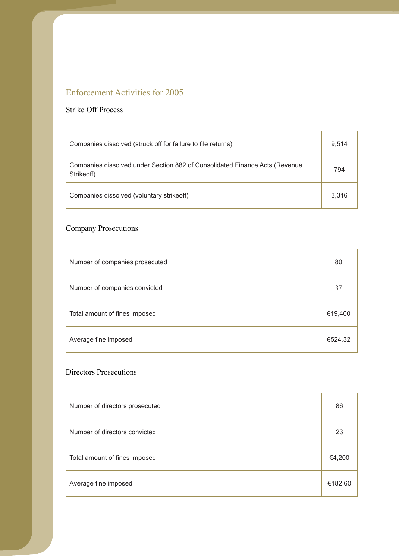# Enforcement Activities for 2005

## Strike Off Process

 $\overline{1}$ 

| Companies dissolved (struck off for failure to file returns)                              | 9.514 |
|-------------------------------------------------------------------------------------------|-------|
| Companies dissolved under Section 882 of Consolidated Finance Acts (Revenue<br>Strikeoff) | 794   |
| Companies dissolved (voluntary strike off)                                                | 3.316 |

# Company Prosecutions

| Number of companies prosecuted | 80      |
|--------------------------------|---------|
| Number of companies convicted  | 37      |
| Total amount of fines imposed  | €19,400 |
| Average fine imposed           | €524.32 |

<u> 1980 - Johann Barbara, martxa alemaniar a</u>

## Directors Prosecutions

| Number of directors prosecuted | 86      |
|--------------------------------|---------|
| Number of directors convicted  | 23      |
| Total amount of fines imposed  | €4,200  |
| Average fine imposed           | €182.60 |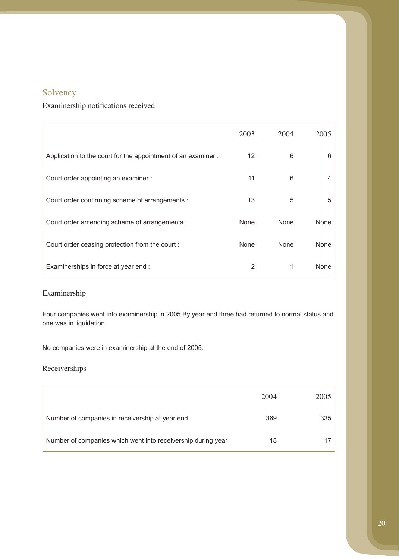# Solvency

## Examinership notifications received

|                                                              | 2003        | 2004        | 2005 |
|--------------------------------------------------------------|-------------|-------------|------|
| Application to the court for the appointment of an examiner: | 12          | 6           | 6    |
| Court order appointing an examiner :                         | 11          | 6           |      |
| Court order confirming scheme of arrangements :              | 13          | 5           | 5    |
| Court order amending scheme of arrangements :                | <b>None</b> | None        | None |
| Court order ceasing protection from the court:               | <b>None</b> | <b>None</b> | None |
| Examinerships in force at year end :                         | 2           | 1           | None |

## Examinership

Four companies went into examinership in 2005.By year end three had returned to normal status and one was in liquidation.

No companies were in examinership at the end of 2005.

## Receiverships

|                                                              | 2004 | 2005 |
|--------------------------------------------------------------|------|------|
| Number of companies in receivership at year end              | 369  | 335  |
| Number of companies which went into receivership during year | 18   |      |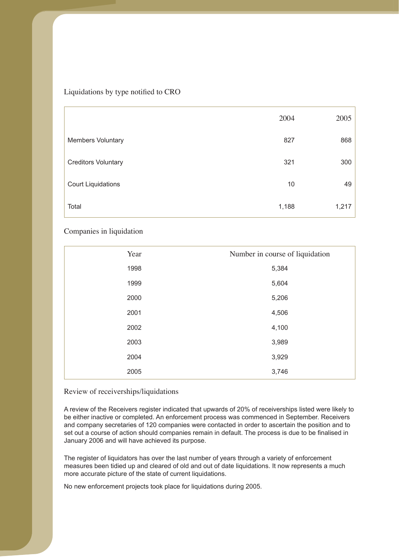Liquidations by type notified to CRO

|                            | 2004  | 2005  |
|----------------------------|-------|-------|
| <b>Members Voluntary</b>   | 827   | 868   |
| <b>Creditors Voluntary</b> | 321   | 300   |
| <b>Court Liquidations</b>  | 10    | 49    |
| Total                      | 1,188 | 1,217 |

### Companies in liquidation

| Year | Number in course of liquidation |
|------|---------------------------------|
| 1998 | 5,384                           |
| 1999 | 5,604                           |
| 2000 | 5,206                           |
| 2001 | 4,506                           |
| 2002 | 4,100                           |
| 2003 | 3,989                           |
| 2004 | 3,929                           |
| 2005 | 3,746                           |

#### Review of receiverships/liquidations

and company secretaries of 120 companies were contacted in order to ascertain the position and to January 2006 and will have achieved its purpose. A review of the Receivers register indicated that upwards of 20% of receiverships listed were likely to be either inactive or completed. An enforcement process was commenced in September. Receivers set out a course of action should companies remain in default. The process is due to be finalised in

The register of liquidators has over the last number of years through a variety of enforcement measures been tidied up and cleared of old and out of date liquidations. It now represents a much more accurate picture of the state of current liquidations.

No new enforcement projects took place for liquidations during 2005.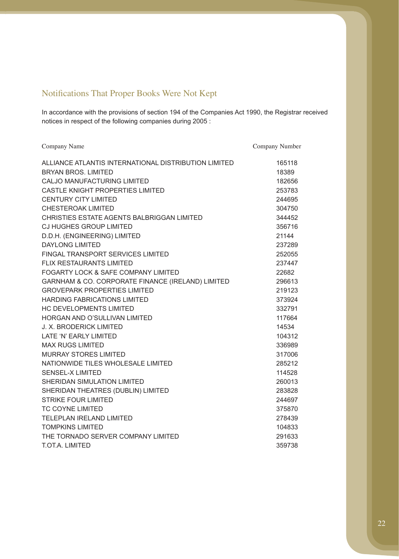# Notifications That Proper Books Were Not Kept

notices in respect of the following companies during 2005 : In accordance with the provisions of section 194 of the Companies Act 1990, the Registrar received

| Company Name                                         | Company Number |
|------------------------------------------------------|----------------|
| ALLIANCE ATLANTIS INTERNATIONAL DISTRIBUTION LIMITED | 165118         |
| <b>BRYAN BROS, LIMITED</b>                           | 18389          |
| <b>CALJO MANUFACTURING LIMITED</b>                   | 182656         |
| <b>CASTLE KNIGHT PROPERTIES LIMITED</b>              | 253783         |
| <b>CENTURY CITY LIMITED</b>                          | 244695         |
| <b>CHESTEROAK LIMITED</b>                            | 304750         |
| CHRISTIES ESTATE AGENTS BALBRIGGAN LIMITED           | 344452         |
| <b>CJ HUGHES GROUP LIMITED</b>                       | 356716         |
| D.D.H. (ENGINEERING) LIMITED                         | 21144          |
| <b>DAYLONG LIMITED</b>                               | 237289         |
| FINGAL TRANSPORT SERVICES LIMITED                    | 252055         |
| <b>FLIX RESTAURANTS LIMITED</b>                      | 237447         |
| FOGARTY LOCK & SAFE COMPANY LIMITED                  | 22682          |
| GARNHAM & CO. CORPORATE FINANCE (IRELAND) LIMITED    | 296613         |
| <b>GROVEPARK PROPERTIES LIMITED</b>                  | 219123         |
| <b>HARDING FABRICATIONS LIMITED</b>                  | 373924         |
| <b>HC DEVELOPMENTS LIMITED</b>                       | 332791         |
| HORGAN AND O'SULLIVAN LIMITED                        | 117664         |
| <b>J. X. BRODERICK LIMITED</b>                       | 14534          |
| LATE 'N' EARLY LIMITED                               | 104312         |
| <b>MAX RUGS LIMITED</b>                              | 336989         |
| <b>MURRAY STORES LIMITED</b>                         | 317006         |
| NATIONWIDE TILES WHOLESALE LIMITED                   | 285212         |
| <b>SENSEL-X LIMITED</b>                              | 114528         |
| SHERIDAN SIMULATION LIMITED                          | 260013         |
| SHERIDAN THEATRES (DUBLIN) LIMITED                   | 283828         |
| <b>STRIKE FOUR LIMITED</b>                           | 244697         |
| <b>TC COYNE LIMITED</b>                              | 375870         |
| <b>TELEPLAN IRELAND LIMITED</b>                      | 278439         |
| <b>TOMPKINS LIMITED</b>                              | 104833         |
| THE TORNADO SERVER COMPANY LIMITED                   | 291633         |
| T.OT.A. LIMITED                                      | 359738         |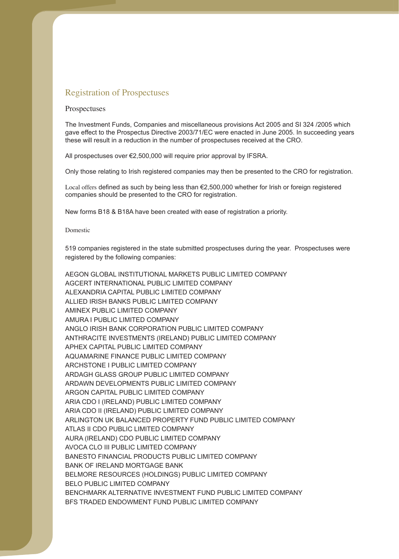### Registration of Prospectuses

#### Prospectuses

these will result in a reduction in the number of prospectuses received at the CRO. The Investment Funds, Companies and miscellaneous provisions Act 2005 and SI 324 /2005 which gave effect to the Prospectus Directive 2003/71/EC were enacted in June 2005. In succeeding years

All prospectuses over €2,500,000 will require prior approval by IFSRA.

Only those relating to Irish registered companies may then be presented to the CRO for registration.

companies should be presented to the CRO for registration. Local offers defined as such by being less than €2,500,000 whether for Irish or foreign registered

New forms B18 & B18A have been created with ease of registration a priority.

#### Domestic

519 companies registered in the state submitted prospectuses during the year. Prospectuses were registered by the following companies:

AEGON GLOBAL INSTITUTIONAL MARKETS PUBLIC LIMITED COMPANY AGCERT INTERNATIONAL PUBLIC LIMITED COMPANY ALEXANDRIA CAPITAL PUBLIC LIMITED COMPANY ALLIED IRISH BANKS PUBLIC LIMITED COMPANY AMINEX PUBLIC LIMITED COMPANY AMURA I PUBLIC LIMITED COMPANY ANGLO IRISH BANK CORPORATION PUBLIC LIMITED COMPANY ANTHRACITE INVESTMENTS (IRELAND) PUBLIC LIMITED COMPANY APHEX CAPITAL PUBLIC LIMITED COMPANY AQUAMARINE FINANCE PUBLIC LIMITED COMPANY ARCHSTONE I PUBLIC LIMITED COMPANY ARDAGH GLASS GROUP PUBLIC LIMITED COMPANY ARDAWN DEVELOPMENTS PUBLIC LIMITED COMPANY ARGON CAPITAL PUBLIC LIMITED COMPANY ARIA CDO I (IRELAND) PUBLIC LIMITED COMPANY ARIA CDO II (IRELAND) PUBLIC LIMITED COMPANY ARLINGTON UK BALANCED PROPERTY FUND PUBLIC LIMITED COMPANY ATLAS II CDO PUBLIC LIMITED COMPANY AURA (IRELAND) CDO PUBLIC LIMITED COMPANY AVOCA CLO III PUBLIC LIMITED COMPANY BANESTO FINANCIAL PRODUCTS PUBLIC LIMITED COMPANY BANK OF IRELAND MORTGAGE BANK BELMORE RESOURCES (HOLDINGS) PUBLIC LIMITED COMPANY BELO PUBLIC LIMITED COMPANY BENCHMARK ALTERNATIVE INVESTMENT FUND PUBLIC LIMITED COMPANY BFS TRADED ENDOWMENT FUND PUBLIC LIMITED COMPANY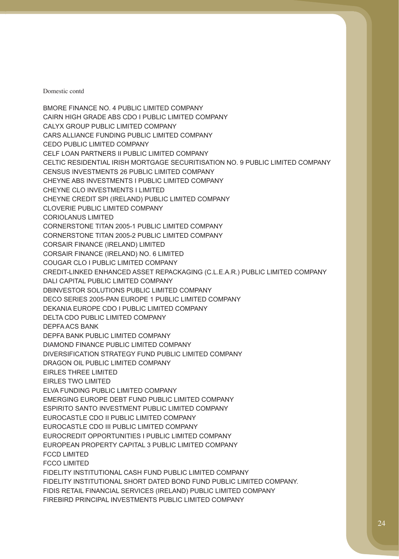CHEYNE CLO INVESTMENTS I LIMITED CORIOLANUS LIMITED CORSAIR FINANCE (IRELAND) LIMITED CORSAIR FINANCE (IRELAND) NO. 6 LIMITED FCCD LIMITED FCCO LIMITED BMORE FINANCE NO. 4 PUBLIC LIMITED COMPANY CAIRN HIGH GRADE ABS CDO I PUBLIC LIMITED COMPANY CALYX GROUP PUBLIC LIMITED COMPANY CARS ALLIANCE FUNDING PUBLIC LIMITED COMPANY CEDO PUBLIC LIMITED COMPANY CELF LOAN PARTNERS II PUBLIC LIMITED COMPANY CELTIC RESIDENTIAL IRISH MORTGAGE SECURITISATION NO. 9 PUBLIC LIMITED COMPANY CENSUS INVESTMENTS 26 PUBLIC LIMITED COMPANY CHEYNE ABS INVESTMENTS I PUBLIC LIMITED COMPANY CHEYNE CREDIT SPI (IRELAND) PUBLIC LIMITED COMPANY CLOVERIE PUBLIC LIMITED COMPANY CORNERSTONE TITAN 2005-1 PUBLIC LIMITED COMPANY CORNERSTONE TITAN 2005-2 PUBLIC LIMITED COMPANY COUGAR CLO I PUBLIC LIMITED COMPANY CREDIT-LINKED ENHANCED ASSET REPACKAGING (C.L.E.A.R.) PUBLIC LIMITED COMPANY DALI CAPITAL PUBLIC LIMITED COMPANY DBINVESTOR SOLUTIONS PUBLIC LIMITED COMPANY DECO SERIES 2005-PAN EUROPE 1 PUBLIC LIMITED COMPANY DEKANIA EUROPE CDO I PUBLIC LIMITED COMPANY DELTA CDO PUBLIC LIMITED COMPANY DEPFA ACS BANK DEPFA BANK PUBLIC LIMITED COMPANY DIAMOND FINANCE PUBLIC LIMITED COMPANY DIVERSIFICATION STRATEGY FUND PUBLIC LIMITED COMPANY DRAGON OIL PUBLIC LIMITED COMPANY EIRLES THREE LIMITED EIRLES TWO LIMITED ELVA FUNDING PUBLIC LIMITED COMPANY EMERGING EUROPE DEBT FUND PUBLIC LIMITED COMPANY ESPIRITO SANTO INVESTMENT PUBLIC LIMITED COMPANY EUROCASTLE CDO II PUBLIC LIMITED COMPANY EUROCASTLE CDO III PUBLIC LIMITED COMPANY EUROCREDIT OPPORTUNITIES I PUBLIC LIMITED COMPANY EUROPEAN PROPERTY CAPITAL 3 PUBLIC LIMITED COMPANY FIDELITY INSTITUTIONAL CASH FUND PUBLIC LIMITED COMPANY FIDELITY INSTITUTIONAL SHORT DATED BOND FUND PUBLIC LIMITED COMPANY. FIDIS RETAIL FINANCIAL SERVICES (IRELAND) PUBLIC LIMITED COMPANY FIREBIRD PRINCIPAL INVESTMENTS PUBLIC LIMITED COMPANY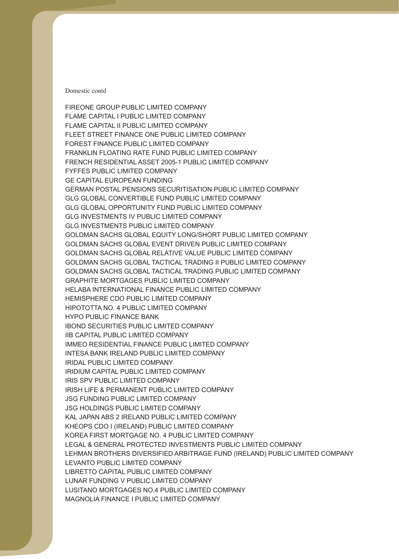HYPO PUBLIC FINANCE BANK FIREONE GROUP PUBLIC LIMITED COMPANY FLAME CAPITAL I PUBLIC LIMITED COMPANY FLAME CAPITAL II PUBLIC LIMITED COMPANY FLEET STREET FINANCE ONE PUBLIC LIMITED COMPANY FOREST FINANCE PUBLIC LIMITED COMPANY FRANKLIN FLOATING RATE FUND PUBLIC LIMITED COMPANY FRENCH RESIDENTIAL ASSET 2005-1 PUBLIC LIMITED COMPANY FYFFES PUBLIC LIMITED COMPANY GE CAPITAL EUROPEAN FUNDING GERMAN POSTAL PENSIONS SECURITISATION PUBLIC LIMITED COMPANY GLG GLOBAL CONVERTIBLE FUND PUBLIC LIMITED COMPANY GLG GLOBAL OPPORTUNITY FUND PUBLIC LIMITED COMPANY GLG INVESTMENTS IV PUBLIC LIMITED COMPANY GLG INVESTMENTS PUBLIC LIMITED COMPANY GOLDMAN SACHS GLOBAL EQUITY LONG/SHORT PUBLIC LIMITED COMPANY GOLDMAN SACHS GLOBAL EVENT DRIVEN PUBLIC LIMITED COMPANY GOLDMAN SACHS GLOBAL RELATIVE VALUE PUBLIC LIMITED COMPANY GOLDMAN SACHS GLOBAL TACTICAL TRADING II PUBLIC LIMITED COMPANY GOLDMAN SACHS GLOBAL TACTICAL TRADING PUBLIC LIMITED COMPANY GRAPHITE MORTGAGES PUBLIC LIMITED COMPANY HELABA INTERNATIONAL FINANCE PUBLIC LIMITED COMPANY HEMISPHERE CDO PUBLIC LIMITED COMPANY HIPOTOTTA NO. 4 PUBLIC LIMITED COMPANY IBOND SECURITIES PUBLIC LIMITED COMPANY IIB CAPITAL PUBLIC LIMITED COMPANY IMMEO RESIDENTIAL FINANCE PUBLIC LIMITED COMPANY INTESA BANK IRELAND PUBLIC LIMITED COMPANY IRIDAL PUBLIC LIMITED COMPANY IRIDIUM CAPITAL PUBLIC LIMITED COMPANY IRIS SPV PUBLIC LIMITED COMPANY IRISH LIFE & PERMANENT PUBLIC LIMITED COMPANY JSG FUNDING PUBLIC LIMITED COMPANY JSG HOLDINGS PUBLIC LIMITED COMPANY KAL JAPAN ABS 2 IRELAND PUBLIC LIMITED COMPANY KHEOPS CDO I (IRELAND) PUBLIC LIMITED COMPANY KOREA FIRST MORTGAGE NO. 4 PUBLIC LIMITED COMPANY LEGAL & GENERAL PROTECTED INVESTMENTS PUBLIC LIMITED COMPANY LEHMAN BROTHERS DIVERSIFIED ARBITRAGE FUND (IRELAND) PUBLIC LIMITED COMPANY LEVANTO PUBLIC LIMITED COMPANY LIBRETTO CAPITAL PUBLIC LIMITED COMPANY LUNAR FUNDING V PUBLIC LIMITED COMPANY LUSITANO MORTGAGES NO.4 PUBLIC LIMITED COMPANY MAGNOLIA FINANCE I PUBLIC LIMITED COMPANY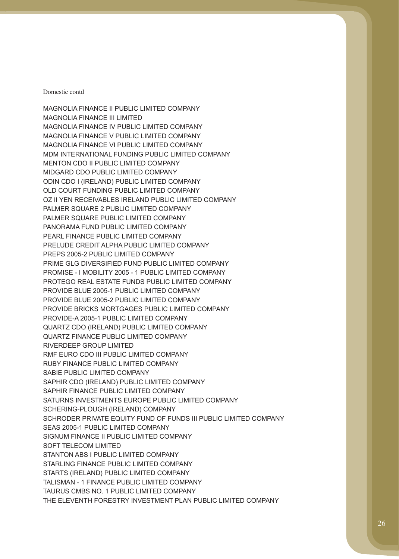MAGNOLIA FINANCE II PUBLIC LIMITED COMPANY MAGNOLIA FINANCE III LIMITED MAGNOLIA FINANCE IV PUBLIC LIMITED COMPANY MAGNOLIA FINANCE V PUBLIC LIMITED COMPANY MAGNOLIA FINANCE VI PUBLIC LIMITED COMPANY MDM INTERNATIONAL FUNDING PUBLIC LIMITED COMPANY MENTON CDO II PUBLIC LIMITED COMPANY MIDGARD CDO PUBLIC LIMITED COMPANY ODIN CDO I (IRELAND) PUBLIC LIMITED COMPANY OLD COURT FUNDING PUBLIC LIMITED COMPANY OZ II YEN RECEIVABLES IRELAND PUBLIC LIMITED COMPANY PALMER SQUARE 2 PUBLIC LIMITED COMPANY PALMER SQUARE PUBLIC LIMITED COMPANY PANORAMA FUND PUBLIC LIMITED COMPANY PEARL FINANCE PUBLIC LIMITED COMPANY PRELUDE CREDIT ALPHA PUBLIC LIMITED COMPANY PREPS 2005-2 PUBLIC LIMITED COMPANY PRIME GLG DIVERSIFIED FUND PUBLIC LIMITED COMPANY PROMISE - I MOBILITY 2005 - 1 PUBLIC LIMITED COMPANY PROTEGO REAL ESTATE FUNDS PUBLIC LIMITED COMPANY PROVIDE BLUE 2005-1 PUBLIC LIMITED COMPANY PROVIDE BLUE 2005-2 PUBLIC LIMITED COMPANY PROVIDE BRICKS MORTGAGES PUBLIC LIMITED COMPANY PROVIDE-A 2005-1 PUBLIC LIMITED COMPANY QUARTZ CDO (IRELAND) PUBLIC LIMITED COMPANY QUARTZ FINANCE PUBLIC LIMITED COMPANY RIVERDEEP GROUP LIMITED RMF EURO CDO III PUBLIC LIMITED COMPANY RUBY FINANCE PUBLIC LIMITED COMPANY SABIE PUBLIC LIMITED COMPANY SAPHIR CDO (IRELAND) PUBLIC LIMITED COMPANY SAPHIR FINANCE PUBLIC LIMITED COMPANY SATURNS INVESTMENTS EUROPE PUBLIC LIMITED COMPANY SCHERING-PLOUGH (IRELAND) COMPANY SCHRODER PRIVATE EQUITY FUND OF FUNDS III PUBLIC LIMITED COMPANY SEAS 2005-1 PUBLIC LIMITED COMPANY SIGNUM FINANCE II PUBLIC LIMITED COMPANY SOFT TELECOM LIMITED STANTON ABS I PUBLIC LIMITED COMPANY STARLING FINANCE PUBLIC LIMITED COMPANY STARTS (IRELAND) PUBLIC LIMITED COMPANY TALISMAN - 1 FINANCE PUBLIC LIMITED COMPANY TAURUS CMBS NO. 1 PUBLIC LIMITED COMPANY THE ELEVENTH FORESTRY INVESTMENT PLAN PUBLIC LIMITED COMPANY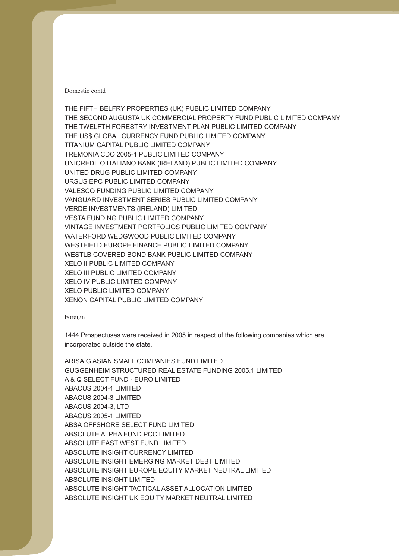VERDE INVESTMENTS (IRELAND) LIMITED THE FIFTH BELFRY PROPERTIES (UK) PUBLIC LIMITED COMPANY THE SECOND AUGUSTA UK COMMERCIAL PROPERTY FUND PUBLIC LIMITED COMPANY THE TWELFTH FORESTRY INVESTMENT PLAN PUBLIC LIMITED COMPANY THE US\$ GLOBAL CURRENCY FUND PUBLIC LIMITED COMPANY TITANIUM CAPITAL PUBLIC LIMITED COMPANY TREMONIA CDO 2005-1 PUBLIC LIMITED COMPANY UNICREDITO ITALIANO BANK (IRELAND) PUBLIC LIMITED COMPANY UNITED DRUG PUBLIC LIMITED COMPANY URSUS EPC PUBLIC LIMITED COMPANY VALESCO FUNDING PUBLIC LIMITED COMPANY VANGUARD INVESTMENT SERIES PUBLIC LIMITED COMPANY VESTA FUNDING PUBLIC LIMITED COMPANY VINTAGE INVESTMENT PORTFOLIOS PUBLIC LIMITED COMPANY WATERFORD WEDGWOOD PUBLIC LIMITED COMPANY WESTFIELD EUROPE FINANCE PUBLIC LIMITED COMPANY WESTLB COVERED BOND BANK PUBLIC LIMITED COMPANY XELO II PUBLIC LIMITED COMPANY XELO III PUBLIC LIMITED COMPANY XELO IV PUBLIC LIMITED COMPANY XELO PUBLIC LIMITED COMPANY XENON CAPITAL PUBLIC LIMITED COMPANY

#### Foreign

1444 Prospectuses were received in 2005 in respect of the following companies which are incorporated outside the state.

ABACUS 2004-1 LIMITED ABACUS 2004-3 LIMITED ABACUS 2005-1 LIMITED ARISAIG ASIAN SMALL COMPANIES FUND LIMITED GUGGENHEIM STRUCTURED REAL ESTATE FUNDING 2005.1 LIMITED A & Q SELECT FUND - EURO LIMITED ABACUS 2004-3, LTD ABSA OFFSHORE SELECT FUND LIMITED ABSOLUTE ALPHA FUND PCC LIMITED ABSOLUTE EAST WEST FUND LIMITED ABSOLUTE INSIGHT CURRENCY LIMITED ABSOLUTE INSIGHT EMERGING MARKET DEBT LIMITED ABSOLUTE INSIGHT EUROPE EQUITY MARKET NEUTRAL LIMITED ABSOLUTE INSIGHT LIMITED ABSOLUTE INSIGHT TACTICAL ASSET ALLOCATION LIMITED ABSOLUTE INSIGHT UK EQUITY MARKET NEUTRAL LIMITED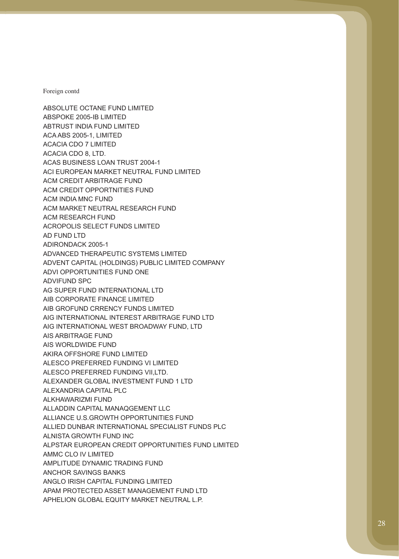ABSPOKE 2005-IB LIMITED ACM RESEARCH FUND ADIRONDACK 2005-1 ADVIFUND SPC AIS WORLDWIDE FUND ALESCO PREFERRED FUNDING VI LIMITED AMMC CLO IV LIMITED ABSOLUTE OCTANE FUND LIMITED ABTRUST INDIA FUND LIMITED ACA ABS 2005-1, LIMITED ACACIA CDO 7 LIMITED ACACIA CDO 8, LTD. ACAS BUSINESS LOAN TRUST 2004-1 ACI EUROPEAN MARKET NEUTRAL FUND LIMITED ACM CREDIT ARBITRAGE FUND ACM CREDIT OPPORTNITIES FUND ACM INDIA MNC FUND ACM MARKET NEUTRAL RESEARCH FUND ACROPOLIS SELECT FUNDS LIMITED AD FUND LTD ADVANCED THERAPEUTIC SYSTEMS LIMITED ADVENT CAPITAL (HOLDINGS) PUBLIC LIMITED COMPANY ADVI OPPORTUNITIES FUND ONE AG SUPER FUND INTERNATIONAL LTD AIB CORPORATE FINANCE LIMITED AIB GROFUND CRRENCY FUNDS LIMITED AIG INTERNATIONAL INTEREST ARBITRAGE FUND LTD AIG INTERNATIONAL WEST BROADWAY FUND, LTD AIS ARBITRAGE FUND AKIRA OFFSHORE FUND LIMITED ALESCO PREFERRED FUNDING VII,LTD. ALEXANDER GLOBAL INVESTMENT FUND 1 LTD ALEXANDRIA CAPITAL PLC ALKHAWARIZMI FUND ALLADDIN CAPITAL MANAQGEMENT LLC ALLIANCE U.S.GROWTH OPPORTUNITIES FUND ALLIED DUNBAR INTERNATIONAL SPECIALIST FUNDS PLC ALNISTA GROWTH FUND INC ALPSTAR EUROPEAN CREDIT OPPORTUNITIES FUND LIMITED AMPLITUDE DYNAMIC TRADING FUND ANCHOR SAVINGS BANKS ANGLO IRISH CAPITAL FUNDING LIMITED APAM PROTECTED ASSET MANAGEMENT FUND LTD APHELION GLOBAL EQUITY MARKET NEUTRAL L.P.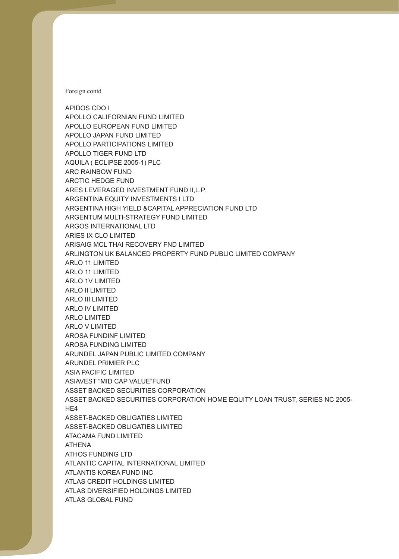APIDOS CDO I APOLLO CALIFORNIAN FUND LIMITED APOLLO EUROPEAN FUND LIMITED ARC RAINBOW FUND ARCTIC HEDGE FUND ARIES IX CLO LIMITED ARLO 1V LIMITED ARLO II LIMITED ARLO III LIMITED ARLO IV LIMITED ARLO LIMITED ARLO V LIMITED H<sub>F4</sub> APOLLO JAPAN FUND LIMITED APOLLO PARTICIPATIONS LIMITED APOLLO TIGER FUND LTD AQUILA ( ECLIPSE 2005-1) PLC ARES LEVERAGED INVESTMENT FUND II,L.P. ARGENTINA EQUITY INVESTMENTS I LTD ARGENTINA HIGH YIELD &CAPITAL APPRECIATION FUND LTD ARGENTUM MULTI-STRATEGY FUND LIMITED ARGOS INTERNATIONAL LTD ARISAIG MCL THAI RECOVERY FND LIMITED ARLINGTON UK BALANCED PROPERTY FUND PUBLIC LIMITED COMPANY ARLO 11 LIMITED ARLO 11 LIMITED AROSA FUNDINF LIMITED AROSA FUNDING LIMITED ARUNDEL JAPAN PUBLIC LIMITED COMPANY ARUNDEL PRIMIER PLC ASIA PACIFIC LIMITED ASIAVEST "MID CAP VALUE"FUND ASSET BACKED SECURITIES CORPORATION ASSET BACKED SECURITIES CORPORATION HOME EQUITY LOAN TRUST, SERIES NC 2005- ASSET-BACKED OBLIGATIES LIMITED ASSET-BACKED OBLIGATIES LIMITED ATACAMA FUND LIMITED ATHENA ATHOS FUNDING LTD ATLANTIC CAPITAL INTERNATIONAL LIMITED ATLANTIS KOREA FUND INC ATLAS CREDIT HOLDINGS LIMITED ATLAS DIVERSIFIED HOLDINGS LIMITED ATLAS GLOBAL FUND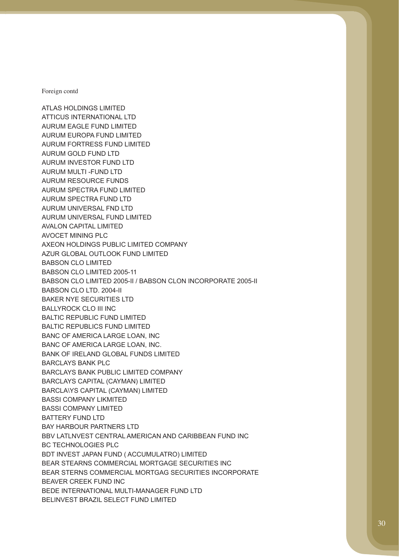AURUM EAGLE FUND LIMITED AURUM RESOURCE FUNDS BABSON CLO LIMITED ATLAS HOLDINGS LIMITED ATTICUS INTERNATIONAL LTD AURUM EUROPA FUND LIMITED AURUM FORTRESS FUND LIMITED AURUM GOLD FUND LTD AURUM INVESTOR FUND LTD AURUM MULTI -FUND LTD AURUM SPECTRA FUND LIMITED AURUM SPECTRA FUND LTD AURUM UNIVERSAL FND LTD AURUM UNIVERSAL FUND LIMITED AVALON CAPITAL LIMITED AVOCET MINING PLC AXEON HOLDINGS PUBLIC LIMITED COMPANY AZUR GLOBAL OUTLOOK FUND LIMITED BABSON CLO LIMITED 2005-11 BABSON CLO LIMITED 2005-II / BABSON CLON INCORPORATE 2005-II BABSON CLO LTD. 2004-II BAKER NYE SECURITIES LTD BALLYROCK CLO III INC BALTIC REPUBLIC FUND LIMITED BALTIC REPUBLICS FUND LIMITED BANC OF AMERICA LARGE LOAN, INC BANC OF AMERICA LARGE LOAN, INC. BANK OF IRELAND GLOBAL FUNDS LIMITED BARCLAYS BANK PLC BARCLAYS BANK PUBLIC LIMITED COMPANY BARCLAYS CAPITAL (CAYMAN) LIMITED BARCLA\YS CAPITAL (CAYMAN) LIMITED BASSI COMPANY LIKMITED BASSI COMPANY LIMITED BATTERY FUND LTD BAY HARBOUR PARTNERS LTD BBV LATLNVEST CENTRAL AMERICAN AND CARIBBEAN FUND INC BC TECHNOLOGIES PLC BDT INVEST JAPAN FUND ( ACCUMULATRO) LIMITED BEAR STEARNS COMMERCIAL MORTGAGE SECURITIES INC BEAR STERNS COMMERCIAL MORTGAG SECURITIES INCORPORATE BEAVER CREEK FUND INC BEDE INTERNATIONAL MULTI-MANAGER FUND LTD BELINVEST BRAZIL SELECT FUND LIMITED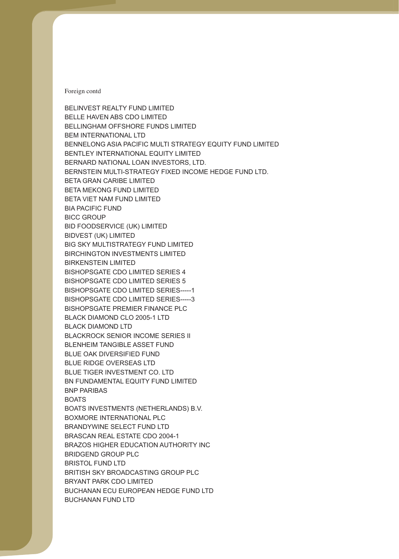BELLINGHAM OFFSHORE FUNDS LIMITED BICC GROUP BIRKENSTEIN LIMITED BLACKROCK SENIOR INCOME SERIES II BLUE OAK DIVERSIFIED FUND BELINVEST REALTY FUND LIMITED BELLE HAVEN ABS CDO LIMITED BEM INTERNATIONAL LTD BENNELONG ASIA PACIFIC MULTI STRATEGY EQUITY FUND LIMITED BENTLEY INTERNATIONAL EQUITY LIMITED BERNARD NATIONAL LOAN INVESTORS, LTD. BERNSTEIN MULTI-STRATEGY FIXED INCOME HEDGE FUND LTD. BETA GRAN CARIBE LIMITED BETA MEKONG FUND LIMITED BETA VIET NAM FUND LIMITED BIA PACIFIC FUND BID FOODSERVICE (UK) LIMITED BIDVEST (UK) LIMITED BIG SKY MULTISTRATEGY FUND LIMITED BIRCHINGTON INVESTMENTS LIMITED BISHOPSGATE CDO LIMITED SERIES 4 BISHOPSGATE CDO LIMITED SERIES 5 BISHOPSGATE CDO LIMITED SERIES-----1 BISHOPSGATE CDO LIMITED SERIES-----3 BISHOPSGATE PREMIER FINANCE PLC BLACK DIAMOND CLO 2005-1 LTD BLACK DIAMOND LTD BLENHEIM TANGIBLE ASSET FUND BLUE RIDGE OVERSEAS LTD BLUE TIGER INVESTMENT CO. LTD BN FUNDAMENTAL EQUITY FUND LIMITED BNP PARIBAS BOATS BOATS INVESTMENTS (NETHERLANDS) B.V. BOXMORE INTERNATIONAL PLC BRANDYWINE SELECT FUND LTD BRASCAN REAL ESTATE CDO 2004-1 BRAZOS HIGHER EDUCATION AUTHORITY INC BRIDGEND GROUP PLC BRISTOL FUND LTD BRITISH SKY BROADCASTING GROUP PLC BRYANT PARK CDO LIMITED BUCHANAN ECU EUROPEAN HEDGE FUND LTD BUCHANAN FUND LTD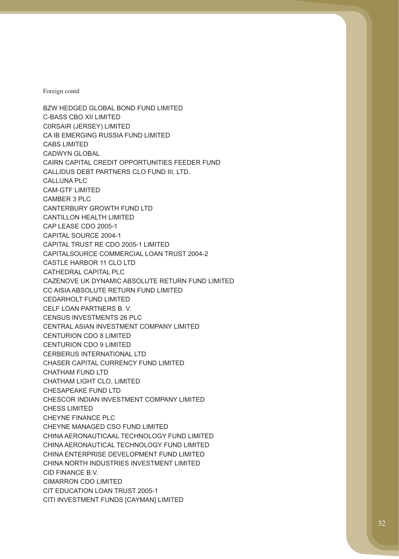C-BASS CBO XII LIMITED C0RSAIR (JERSEY) LIMITED CABS LIMITED CADWYN GLOBAL CAM-GTF LIMITED CAMBER 3 PLC CENSUS INVESTMENTS 26 PLC CENTURION CDO 8 LIMITED CENTURION CDO 9 LIMITED CHESS LIMITED CHEYNE FINANCE PLC CHEYNE MANAGED CSO FUND LIMITED CIMARRON CDO LIMITED BZW HEDGED GLOBAL BOND FUND LIMITED CA IB EMERGING RUSSIA FUND LIMITED CAIRN CAPITAL CREDIT OPPORTUNITIES FEEDER FUND CALLIDUS DEBT PARTNERS CLO FUND III, LTD. CALLUNA PLC CANTERBURY GROWTH FUND LTD CANTILLON HEALTH LIMITED CAP LEASE CDO 2005-1 CAPITAL SOURCE 2004-1 CAPITAL TRUST RE CDO 2005-1 LIMITED CAPITALSOURCE COMMERCIAL LOAN TRUST 2004-2 CASTLE HARBOR 11 CLO LTD CATHEDRAL CAPITAL PLC CAZENOVE UK DYNAMIC ABSOLUTE RETURN FUND LIMITED CC AISIA ABSOLUTE RETURN FUND LIMITED CEDARHOLT FUND LIMITED CELF LOAN PARTNERS B. V. CENTRAL ASIAN INVESTMENT COMPANY LIMITED CERBERUS INTERNATIONAL LTD CHASER CAPITAL CURRENCY FUND LIMITED CHATHAM FUND LTD CHATHAM LIGHT CLO, LIMITED CHESAPEAKE FUND LTD CHESCOR INDIAN INVESTMENT COMPANY LIMITED CHINA AERONAUTICAAL TECHNOLOGY FUND LIMITED CHINA AERONAUTICAL TECHNOLOGY FUND LIMITED CHINA ENTERPRISE DEVELOPMENT FUND LIMITED CHINA NORTH INDUSTRIES INVESTMENT LIMITED CID FINANCE B.V. CIT EDUCATION LOAN TRUST 2005-1 CITI INVESTMENT FUNDS [CAYMAN] LIMITED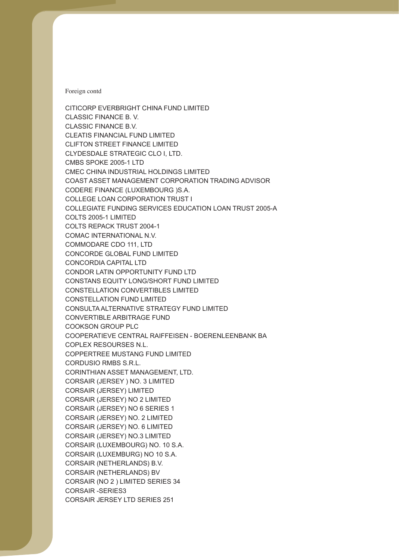CODERE FINANCE (LUXEMBOURG )S.A. COPLEX RESOURSES N.L. CORDUSIO RMBS S.R.L. CORSAIR (JERSEY) LIMITED CORSAIR (JERSEY) NO 2 LIMITED CORSAIR (JERSEY) NO 6 SERIES 1 CORSAIR (JERSEY) NO. 2 LIMITED CORSAIR (JERSEY) NO. 6 LIMITED CORSAIR (JERSEY) NO.3 LIMITED CORSAIR (LUXEMBOURG) NO. 10 S.A. CORSAIR (LUXEMBURG) NO 10 S.A. CORSAIR (NETHERLANDS) BV CORSAIR (NO 2 ) LIMITED SERIES 34 CORSAIR -SERIES3 CITICORP EVERBRIGHT CHINA FUND LIMITED CLASSIC FINANCE B. V. CLASSIC FINANCE B.V. CLEATIS FINANCIAL FUND LIMITED CLIFTON STREET FINANCE LIMITED CLYDESDALE STRATEGIC CLO I, LTD. CMBS SPOKE 2005-1 LTD CMEC CHINA INDUSTRIAL HOLDINGS LIMITED COAST ASSET MANAGEMENT CORPORATION TRADING ADVISOR COLLEGE LOAN CORPORATION TRUST I COLLEGIATE FUNDING SERVICES EDUCATION LOAN TRUST 2005-A COLTS 2005-1 LIMITED COLTS REPACK TRUST 2004-1 COMAC INTERNATIONAL N.V. COMMODARE CDO 111, LTD CONCORDE GLOBAL FUND LIMITED CONCORDIA CAPITAL LTD CONDOR LATIN OPPORTUNITY FUND LTD CONSTANS EQUITY LONG/SHORT FUND LIMITED CONSTELLATION CONVERTIBLES LIMITED CONSTELLATION FUND LIMITED CONSULTA ALTERNATIVE STRATEGY FUND LIMITED CONVERTIBLE ARBITRAGE FUND COOKSON GROUP PLC COOPERATIEVE CENTRAL RAIFFEISEN - BOERENLEENBANK BA COPPERTREE MUSTANG FUND LIMITED CORINTHIAN ASSET MANAGEMENT, LTD. CORSAIR (JERSEY ) NO. 3 LIMITED CORSAIR (NETHERLANDS) B.V. CORSAIR JERSEY LTD SERIES 251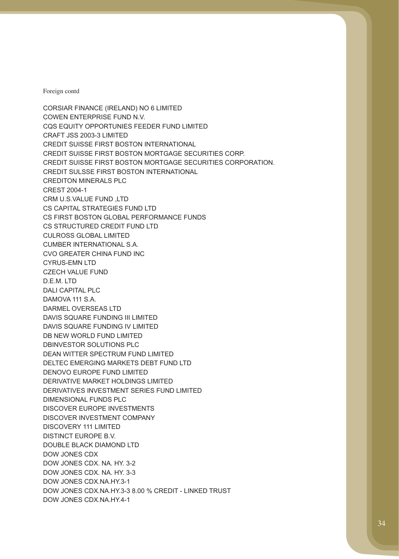CORSIAR FINANCE (IRELAND) NO 6 LIMITED DB NEW WORLD FUND LIMITED DEAN WITTER SPECTRUM FUND LIMITED DENOVO EUROPE FUND LIMITED DISCOVER EUROPE INVESTMENTS DOW JONES CDX COWEN ENTERPRISE FUND N.V. CQS EQUITY OPPORTUNIES FEEDER FUND LIMITED CRAFT JSS 2003-3 LIMITED CREDIT SUISSE FIRST BOSTON INTERNATIONAL CREDIT SUISSE FIRST BOSTON MORTGAGE SECURITIES CORP. CREDIT SUISSE FIRST BOSTON MORTGAGE SECURITIES CORPORATION. CREDIT SULSSE FIRST BOSTON INTERNATIONAL CREDITON MINERALS PLC CREST 2004-1 CRM U.S.VALUE FUND ,LTD CS CAPITAL STRATEGIES FUND LTD CS FIRST BOSTON GLOBAL PERFORMANCE FUNDS CS STRUCTURED CREDIT FUND LTD CULROSS GLOBAL LIMITED CUMBER INTERNATIONAL S.A. CVO GREATER CHINA FUND INC CYRUS-EMN LTD CZECH VALUE FUND D.E.M. LTD DALI CAPITAL PLC DAMOVA 111 S.A. DARMEL OVERSEAS LTD DAVIS SQUARE FUNDING III LIMITED DAVIS SQUARE FUNDING IV LIMITED DBINVESTOR SOLUTIONS PLC DELTEC EMERGING MARKETS DEBT FUND LTD DERIVATIVE MARKET HOLDINGS LIMITED DERIVATIVES INVESTMENT SERIES FUND LIMITED DIMENSIONAL FUNDS PLC DISCOVER INVESTMENT COMPANY DISCOVERY 111 LIMITED DISTINCT EUROPE B.V. DOUBLE BLACK DIAMOND LTD DOW JONES CDX. NA. HY. 3-2 DOW JONES CDX. NA. HY. 3-3 DOW JONES CDX.NA.HY.3-1 DOW JONES CDX.NA.HY.3-3 8.00 % CREDIT - LINKED TRUST DOW JONES CDX.NA.HY.4-1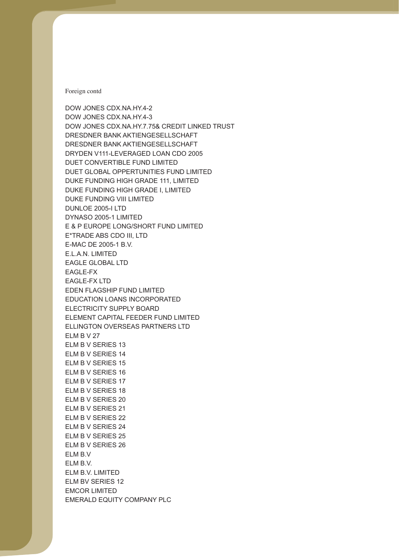DUKE FUNDING HIGH GRADE I, LIMITED DUKE FUNDING VIII LIMITED DYNASO 2005-1 LIMITED E.L.A.N. LIMITED EAGLE-FX ELM B V 27 ELM B V SERIES 13 ELM B V SERIES 14 ELM B V SERIES 15 ELM B V SERIES 16 ELM B V SERIES 17 ELM B V SERIES 18 ELM B V SERIES 20 ELM B V SERIES 21 ELM B V SERIES 22 ELM B V SERIES 24 ELM B V SERIES 25 ELM B V SERIES 26 ELM B.V ELM BV SERIES 12 EMCOR LIMITED DOW JONES CDX.NA.HY.4-2 DOW JONES CDX.NA.HY.4-3 DOW JONES CDX.NA.HY.7.75& CREDIT LINKED TRUST DRESDNER BANK AKTIENGESELLSCHAFT DRESDNER BANK AKTIENGESELLSCHAFT DRYDEN V111-LEVERAGED LOAN CDO 2005 DUET CONVERTIBLE FUND LIMITED DUET GLOBAL OPPERTUNITIES FUND LIMITED DUKE FUNDING HIGH GRADE 111, LIMITED DUNLOE 2005-I LTD E & P EUROPE LONG/SHORT FUND LIMITED E\*TRADE ABS CDO III, LTD E-MAC DE 2005-1 B.V. EAGLE GLOBAL LTD EAGLE-FX LTD EDEN FLAGSHIP FUND LIMITED EDUCATION LOANS INCORPORATED ELECTRICITY SUPPLY BOARD ELEMENT CAPITAL FEEDER FUND LIMITED ELLINGTON OVERSEAS PARTNERS LTD ELM B.V. ELM B.V. LIMITED EMERALD EQUITY COMPANY PLC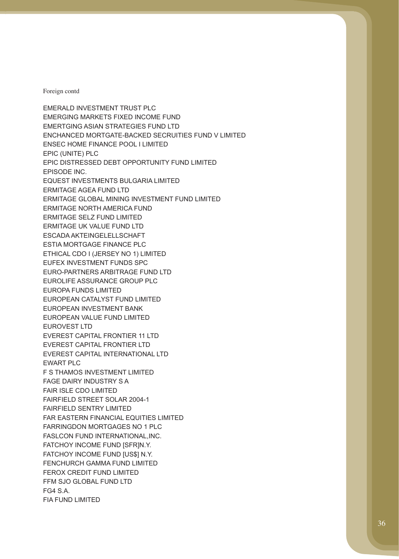EMERGING MARKETS FIXED INCOME FUND EPIC (UNITE) PLC EPISODE INC. FG4 S.A. EMERALD INVESTMENT TRUST PLC EMERTGING ASIAN STRATEGIES FUND LTD ENCHANCED MORTGATE-BACKED SECRUITIES FUND V LIMITED ENSEC HOME FINANCE POOL I LIMITED EPIC DISTRESSED DEBT OPPORTUNITY FUND LIMITED EQUEST INVESTMENTS BULGARIA LIMITED ERMITAGE AGEA FUND LTD ERMITAGE GLOBAL MINING INVESTMENT FUND LIMITED ERMITAGE NORTH AMERICA FUND ERMITAGE SELZ FUND LIMITED ERMITAGE UK VALUE FUND LTD ESCADA AKTEINGELELLSCHAFT ESTIA MORTGAGE FINANCE PLC ETHICAL CDO I (JERSEY NO 1) LIMITED EUFEX INVESTMENT FUNDS SPC EURO-PARTNERS ARBITRAGE FUND LTD EUROLIFE ASSURANCE GROUP PLC EUROPA FUNDS LIMITED EUROPEAN CATALYST FUND LIMITED EUROPEAN INVESTMENT BANK EUROPEAN VALUE FUND LIMITED EUROVEST LTD EVEREST CAPITAL FRONTIER 11 LTD EVEREST CAPITAL FRONTIER LTD EVEREST CAPITAL INTERNATIONAL LTD EWART PLC F S THAMOS INVESTMENT LIMITED FAGE DAIRY INDUSTRY S A FAIR ISLE CDO LIMITED FAIRFIELD STREET SOLAR 2004-1 FAIRFIELD SENTRY LIMITED FAR EASTERN FINANCIAL EQUITIES LIMITED FARRINGDON MORTGAGES NO 1 PLC FASLCON FUND INTERNATIONAL,INC. FATCHOY INCOME FUND [SFR]N.Y. FATCHOY INCOME FUND [US\$] N.Y. FENCHURCH GAMMA FUND LIMITED FEROX CREDIT FUND LIMITED FFM SJO GLOBAL FUND LTD FIA FUND LIMITED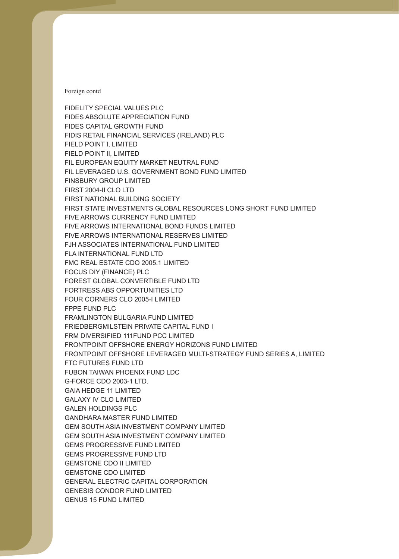FOUR CORNERS CLO 2005-I LIMITED FPPE FUND PLC GALEN HOLDINGS PLC GEMS PROGRESSIVE FUND LIMITED GENESIS CONDOR FUND LIMITED GENUS 15 FUND LIMITED FIDELITY SPECIAL VALUES PLC FIDES ABSOLUTE APPRECIATION FUND FIDES CAPITAL GROWTH FUND FIDIS RETAIL FINANCIAL SERVICES (IRELAND) PLC FIELD POINT I, LIMITED FIELD POINT II, LIMITED FIL EUROPEAN EQUITY MARKET NEUTRAL FUND FIL LEVERAGED U.S. GOVERNMENT BOND FUND LIMITED FINSBURY GROUP LIMITED FIRST 2004-II CLO LTD FIRST NATIONAL BUILDING SOCIETY FIRST STATE INVESTMENTS GLOBAL RESOURCES LONG SHORT FUND LIMITED FIVE ARROWS CURRENCY FUND LIMITED FIVE ARROWS INTERNATIONAL BOND FUNDS LIMITED FIVE ARROWS INTERNATIONAL RESERVES LIMITED FJH ASSOCIATES INTERNATIONAL FUND LIMITED FLA INTERNATIONAL FUND LTD FMC REAL ESTATE CDO 2005.1 LIMITED FOCUS DIY (FINANCE) PLC FOREST GLOBAL CONVERTIBLE FUND LTD FORTRESS ABS OPPORTUNITIES LTD FRAMLINGTON BULGARIA FUND LIMITED FRIEDBERGMILSTEIN PRIVATE CAPITAL FUND I FRM DIVERSIFIED 111FUND PCC LIMITED FRONTPOINT OFFSHORE ENERGY HORIZONS FUND LIMITED FRONTPOINT OFFSHORE LEVERAGED MULTI-STRATEGY FUND SERIES A, LIMITED FTC FUTURES FUND LTD FUBON TAIWAN PHOENIX FUND LDC G-FORCE CDO 2003-1 LTD. GAIA HEDGE 11 LIMITED GALAXY IV CLO LIMITED GANDHARA MASTER FUND LIMITED GEM SOUTH ASIA INVESTMENT COMPANY LIMITED GEM SOUTH ASIA INVESTMENT COMPANY LIMITED GEMS PROGRESSIVE FUND LTD GEMSTONE CDO II LIMITED GEMSTONE CDO LIMITED GENERAL ELECTRIC CAPITAL CORPORATION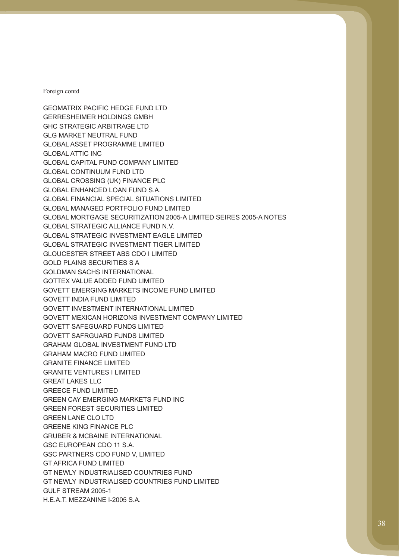GERRESHEIMER HOLDINGS GMBH GRAHAM MACRO FUND LIMITED GRANITE FINANCE LIMITED GRANITE VENTURES I LIMITED GREECE FUND LIMITED GREENE KING FINANCE PLC GULF STREAM 2005-1 GEOMATRIX PACIFIC HEDGE FUND LTD GHC STRATEGIC ARBITRAGE LTD GLG MARKET NEUTRAL FUND GLOBAL ASSET PROGRAMME LIMITED GLOBAL ATTIC INC GLOBAL CAPITAL FUND COMPANY LIMITED GLOBAL CONTINUUM FUND LTD GLOBAL CROSSING (UK) FINANCE PLC GLOBAL ENHANCED LOAN FUND S.A. GLOBAL FINANCIAL SPECIAL SITUATIONS LIMITED GLOBAL MANAGED PORTFOLIO FUND LIMITED GLOBAL MORTGAGE SECURITIZATION 2005-A LIMITED SEIRES 2005-A NOTES GLOBAL STRATEGIC ALLIANCE FUND N.V. GLOBAL STRATEGIC INVESTMENT EAGLE LIMITED GLOBAL STRATEGIC INVESTMENT TIGER LIMITED GLOUCESTER STREET ABS CDO I LIMITED GOLD PLAINS SECURITIES S A GOLDMAN SACHS INTERNATIONAL GOTTEX VALUE ADDED FUND LIMITED GOVETT EMERGING MARKETS INCOME FUND LIMITED GOVETT INDIA FUND LIMITED GOVETT INVESTMENT INTERNATIONAL LIMITED GOVETT MEXICAN HORIZONS INVESTMENT COMPANY LIMITED GOVETT SAFEGUARD FUNDS LIMITED GOVETT SAFRGUARD FUNDS LIMITED GRAHAM GLOBAL INVESTMENT FUND LTD GREAT LAKES LLC GREEN CAY EMERGING MARKETS FUND INC GREEN FOREST SECURITIES LIMITED GREEN LANE CLO LTD GRUBER & MCBAINE INTERNATIONAL GSC EUROPEAN CDO 11 S.A. GSC PARTNERS CDO FUND V, LIMITED GT AFRICA FUND LIMITED GT NEWLY INDUSTRIALISED COUNTRIES FUND GT NEWLY INDUSTRIALISED COUNTRIES FUND LIMITED H.E.A.T. MEZZANINE I-2005 S.A.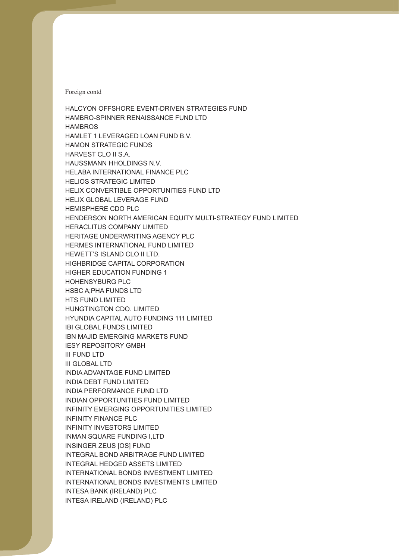**HAMBROS** HEMISPHERE CDO PLC HOHENSYBURG PLC HTS FUND LIMITED IBN MAJID EMERGING MARKETS FUND INSINGER ZEUS [OS] FUND HALCYON OFFSHORE EVENT-DRIVEN STRATEGIES FUND HAMBRO-SPINNER RENAISSANCE FUND LTD HAMLET 1 LEVERAGED LOAN FUND B.V. HAMON STRATEGIC FUNDS HARVEST CLO II S.A. HAUSSMANN HHOLDINGS N.V. HELABA INTERNATIONAL FINANCE PLC HELIOS STRATEGIC LIMITED HELIX CONVERTIBLE OPPORTUNITIES FUND LTD HELIX GLOBAL LEVERAGE FUND HENDERSON NORTH AMERICAN EQUITY MULTI-STRATEGY FUND LIMITED HERACLITUS COMPANY LIMITED HERITAGE UNDERWRITING AGENCY PLC HERMES INTERNATIONAL FUND LIMITED HEWETT'S ISLAND CLO II LTD. HIGHBRIDGE CAPITAL CORPORATION HIGHER EDUCATION FUNDING 1 HSBC A;PHA FUNDS LTD HUNGTINGTON CDO. LIMITED HYUNDIA CAPITAL AUTO FUNDING 111 LIMITED IBI GLOBAL FUNDS LIMITED IESY REPOSITORY GMBH III FUND LTD III GLOBAL LTD INDIA ADVANTAGE FUND LIMITED INDIA DEBT FUND LIMITED INDIA PERFORMANCE FUND LTD INDIAN OPPORTUNITIES FUND LIMITED INFINITY EMERGING OPPORTUNITIES LIMITED INFINITY FINANCE PLC INFINITY INVESTORS LIMITED INMAN SQUARE FUNDING I,LTD INTEGRAL BOND ARBITRAGE FUND LIMITED INTEGRAL HEDGED ASSETS LIMITED INTERNATIONAL BONDS INVESTMENT LIMITED INTERNATIONAL BONDS INVESTMENTS LIMITED INTESA BANK (IRELAND) PLC INTESA IRELAND (IRELAND) PLC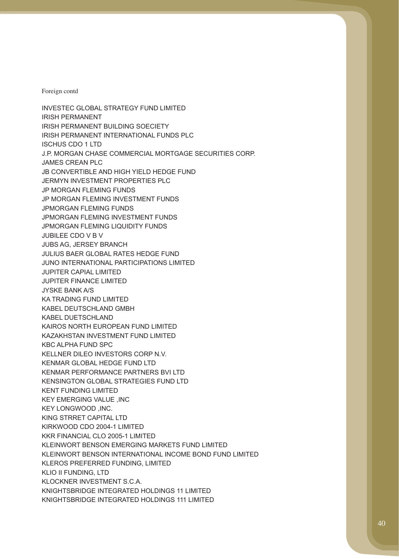IRISH PERMANENT JAMES CREAN PLC JPMORGAN FLEMING FUNDS JUBILEE CDO V B V JUPITER FINANCE LIMITED KIRKWOOD CDO 2004-1 LIMITED KLEROS PREFERRED FUNDING, LIMITED INVESTEC GLOBAL STRATEGY FUND LIMITED IRISH PERMANENT BUILDING SOECIETY IRISH PERMANENT INTERNATIONAL FUNDS PLC ISCHUS CDO 1 LTD J.P. MORGAN CHASE COMMERCIAL MORTGAGE SECURITIES CORP. JB CONVERTIBLE AND HIGH YIELD HEDGE FUND JERMYN INVESTMENT PROPERTIES PLC JP MORGAN FLEMING FUNDS JP MORGAN FLEMING INVESTMENT FUNDS JPMORGAN FLEMING INVESTMENT FUNDS JPMORGAN FLEMING LIQUIDITY FUNDS JUBS AG, JERSEY BRANCH JULIUS BAER GLOBAL RATES HEDGE FUND JUNO INTERNATIONAL PARTICIPATIONS LIMITED JUPITER CAPIAL LIMITED JYSKE BANK A/S KA TRADING FUND LIMITED KABEL DEUTSCHLAND GMBH KABEL DUETSCHLAND KAIROS NORTH EUROPEAN FUND LIMITED KAZAKHSTAN INVESTMENT FUND LIMITED KBC ALPHA FUND SPC KELLNER DILEO INVESTORS CORP N.V. KENMAR GLOBAL HEDGE FUND LTD KENMAR PERFORMANCE PARTNERS BVI LTD KENSINGTON GLOBAL STRATEGIES FUND LTD KENT FUNDING LIMITED KEY EMERGING VALUE ,INC KEY LONGWOOD ,INC. KING STRRET CAPITAL LTD KKR FINANCIAL CLO 2005-1 LIMITED KLEINWORT BENSON EMERGING MARKETS FUND LIMITED KLEINWORT BENSON INTERNATIONAL INCOME BOND FUND LIMITED KLIO II FUNDING, LTD KLOCKNER INVESTMENT S.C.A. KNIGHTSBRIDGE INTEGRATED HOLDINGS 11 LIMITED KNIGHTSBRIDGE INTEGRATED HOLDINGS 111 LIMITED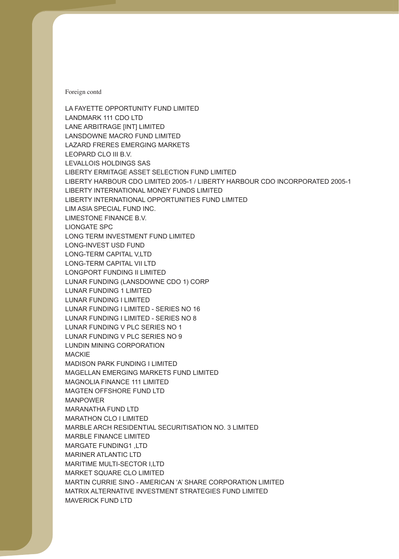LANSDOWNE MACRO FUND LIMITED LAZARD FRERES EMERGING MARKETS LUNAR FUNDING (LANSDOWNE CDO 1) CORP LUNAR FUNDING 1 LIMITED LUNAR FUNDING I LIMITED LUNAR FUNDING I LIMITED - SERIES NO 16 LUNAR FUNDING I LIMITED - SERIES NO 8 LUNAR FUNDING V PLC SERIES NO 1 LUNAR FUNDING V PLC SERIES NO 9 MACKIE MAGELLAN EMERGING MARKETS FUND LIMITED MANPOWER MARBLE FINANCE LIMITED LA FAYETTE OPPORTUNITY FUND LIMITED LANDMARK 111 CDO LTD LANE ARBITRAGE [INT] LIMITED LEOPARD CLO III B.V. LEVALLOIS HOLDINGS SAS LIBERTY ERMITAGE ASSET SELECTION FUND LIMITED LIBERTY HARBOUR CDO LIMITED 2005-1 / LIBERTY HARBOUR CDO INCORPORATED 2005-1 LIBERTY INTERNATIONAL MONEY FUNDS LIMITED LIBERTY INTERNATIONAL OPPORTUNITIES FUND LIMITED LIM ASIA SPECIAL FUND INC. LIMESTONE FINANCE B.V. LIONGATE SPC LONG TERM INVESTMENT FUND LIMITED LONG-INVEST USD FUND LONG-TERM CAPITAL V,LTD LONG-TERM CAPITAL VII LTD LONGPORT FUNDING II LIMITED LUNDIN MINING CORPORATION MADISON PARK FUNDING I LIMITED MAGNOLIA FINANCE 111 LIMITED MAGTEN OFFSHORE FUND LTD MARANATHA FUND LTD MARATHON CLO I LIMITED MARBLE ARCH RESIDENTIAL SECURITISATION NO. 3 LIMITED MARGATE FUNDING1 ,LTD MARINER ATLANTIC LTD MARITIME MULTI-SECTOR I,LTD MARKET SQUARE CLO LIMITED MARTIN CURRIE SINO - AMERICAN 'A' SHARE CORPORATION LIMITED MATRIX ALTERNATIVE INVESTMENT STRATEGIES FUND LIMITED MAVERICK FUND LTD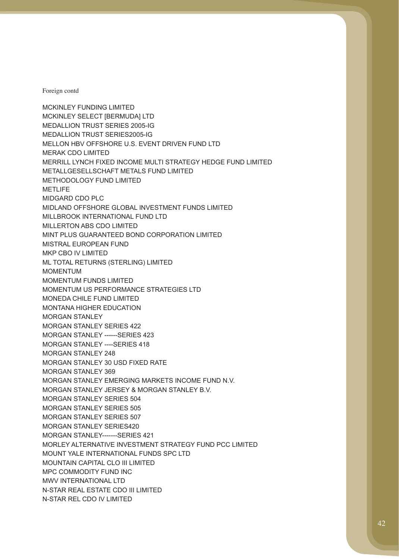MERAK CDO LIMITED METLIFE MIDGARD CDO PLC MOMENTUM MOMENTUM FUNDS LIMITED MCKINLEY FUNDING LIMITED MCKINLEY SELECT [BERMUDA] LTD MEDALLION TRUST SERIES 2005-IG MEDALLION TRUST SERIES2005-IG MELLON HBV OFFSHORE U.S. EVENT DRIVEN FUND LTD MERRILL LYNCH FIXED INCOME MULTI STRATEGY HEDGE FUND LIMITED METALLGESELLSCHAFT METALS FUND LIMITED METHODOLOGY FUND LIMITED MIDLAND OFFSHORE GLOBAL INVESTMENT FUNDS LIMITED MILLBROOK INTERNATIONAL FUND LTD MILLERTON ABS CDO LIMITED MINT PLUS GUARANTEED BOND CORPORATION LIMITED MISTRAL EUROPEAN FUND MKP CBO IV LIMITED ML TOTAL RETURNS (STERLING) LIMITED MOMENTUM US PERFORMANCE STRATEGIES LTD MONEDA CHILE FUND LIMITED MONTANA HIGHER EDUCATION MORGAN STANLEY MORGAN STANLEY SERIES 422 MORGAN STANLEY ------SERIES 423 MORGAN STANLEY ----SERIES 418 MORGAN STANLEY 248 MORGAN STANLEY 30 USD FIXED RATE MORGAN STANLEY 369 MORGAN STANLEY EMERGING MARKETS INCOME FUND N.V. MORGAN STANLEY JERSEY & MORGAN STANLEY B.V. MORGAN STANLEY SERIES 504 MORGAN STANLEY SERIES 505 MORGAN STANLEY SERIES 507 MORGAN STANLEY SERIES420 MORGAN STANLEY-------SERIES 421 MORLEY ALTERNATIVE INVESTMENT STRATEGY FUND PCC LIMITED MOUNT YALE INTERNATIONAL FUNDS SPC LTD MOUNTAIN CAPITAL CLO III LIMITED MPC COMMODITY FUND INC MWV INTERNATIONAL LTD N-STAR REAL ESTATE CDO III LIMITED N-STAR REL CDO IV LIMITED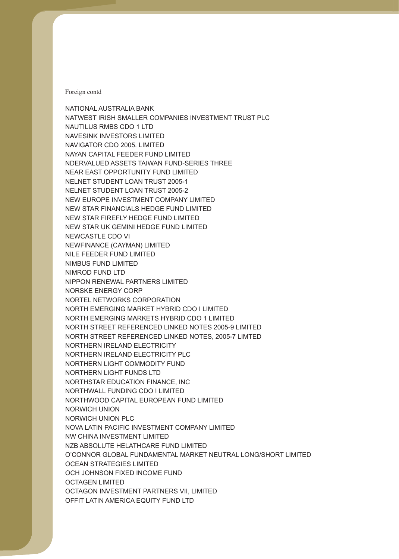NEWCASTLE CDO VI NILE FEEDER FUND LIMITED NIMBUS FUND LIMITED OCH JOHNSON FIXED INCOME FUND NATIONAL AUSTRALIA BANK NATWEST IRISH SMALLER COMPANIES INVESTMENT TRUST PLC NAUTILUS RMBS CDO 1 LTD NAVESINK INVESTORS LIMITED NAVIGATOR CDO 2005. LIMITED NAYAN CAPITAL FEEDER FUND LIMITED NDERVALUED ASSETS TAIWAN FUND-SERIES THREE NEAR EAST OPPORTUNITY FUND LIMITED NELNET STUDENT LOAN TRUST 2005-1 NELNET STUDENT LOAN TRUST 2005-2 NEW EUROPE INVESTMENT COMPANY LIMITED NEW STAR FINANCIALS HEDGE FUND LIMITED NEW STAR FIREFLY HEDGE FUND LIMITED NEW STAR UK GEMINI HEDGE FUND LIMITED NEWFINANCE (CAYMAN) LIMITED NIMROD FUND LTD NIPPON RENEWAL PARTNERS LIMITED NORSKE ENERGY CORP NORTEL NETWORKS CORPORATION NORTH EMERGING MARKET HYBRID CDO I LIMITED NORTH EMERGING MARKETS HYBRID CDO 1 LIMITED NORTH STREET REFERENCED LINKED NOTES 2005-9 LIMITED NORTH STREET REFERENCED LINKED NOTES, 2005-7 LIMTED NORTHERN IRELAND ELECTRICITY NORTHERN IRELAND ELECTRICITY PLC NORTHERN LIGHT COMMODITY FUND NORTHERN LIGHT FUNDS LTD NORTHSTAR EDUCATION FINANCE, INC NORTHWALL FUNDING CDO I LIMITED NORTHWOOD CAPITAL EUROPEAN FUND LIMITED NORWICH UNION NORWICH UNION PLC NOVA LATIN PACIFIC INVESTMENT COMPANY LIMITED NW CHINA INVESTMENT LIMITED NZB ABSOLUTE HELATHCARE FUND LIMITED O'CONNOR GLOBAL FUNDAMENTAL MARKET NEUTRAL LONG/SHORT LIMITED OCEAN STRATEGIES LIMITED OCTAGEN LIMITED OCTAGON INVESTMENT PARTNERS VII, LIMITED OFFIT LATIN AMERICA EQUITY FUND LTD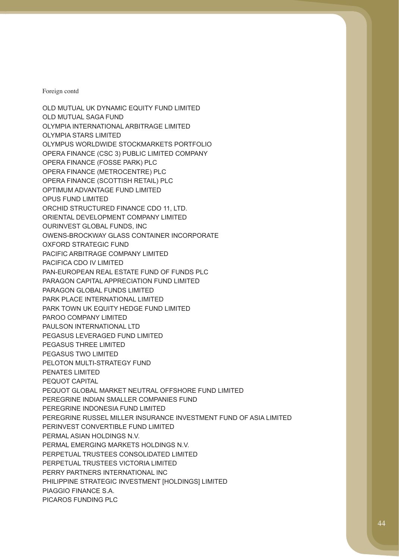OPUS FUND LIMITED PEGASUS LEVERAGED FUND LIMITED PIAGGIO FINANCE S.A. PICAROS FUNDING PLC OLD MUTUAL UK DYNAMIC EQUITY FUND LIMITED OLD MUTUAL SAGA FUND OLYMPIA INTERNATIONAL ARBITRAGE LIMITED OLYMPIA STARS LIMITED OLYMPUS WORLDWIDE STOCKMARKETS PORTFOLIO OPERA FINANCE (CSC 3) PUBLIC LIMITED COMPANY OPERA FINANCE (FOSSE PARK) PLC OPERA FINANCE (METROCENTRE) PLC OPERA FINANCE (SCOTTISH RETAIL) PLC OPTIMUM ADVANTAGE FUND LIMITED ORCHID STRUCTURED FINANCE CDO 11, LTD. ORIENTAL DEVELOPMENT COMPANY LIMITED OURINVEST GLOBAL FUNDS, INC OWENS-BROCKWAY GLASS CONTAINER INCORPORATE OXFORD STRATEGIC FUND PACIFIC ARBITRAGE COMPANY LIMITED PACIFICA CDO IV LIMITED PAN-EUROPEAN REAL ESTATE FUND OF FUNDS PLC PARAGON CAPITAL APPRECIATION FUND LIMITED PARAGON GLOBAL FUNDS LIMITED PARK PLACE INTERNATIONAL LIMITED PARK TOWN UK EQUITY HEDGE FUND LIMITED PAROO COMPANY LIMITED PAULSON INTERNATIONAL LTD PEGASUS THREE LIMITED PEGASUS TWO LIMITED PELOTON MULTI-STRATEGY FUND PENATES LIMITED PEQUOT CAPITAL PEQUOT GLOBAL MARKET NEUTRAL OFFSHORE FUND LIMITED PEREGRINE INDIAN SMALLER COMPANIES FUND PEREGRINE INDONESIA FUND LIMITED PEREGRINE RUSSEL MILLER INSURANCE INVESTMENT FUND OF ASIA LIMITED PERINVEST CONVERTIBLE FUND LIMITED PERMAL ASIAN HOLDINGS N.V. PERMAL EMERGING MARKETS HOLDINGS N.V. PERPETUAL TRUSTEES CONSOLIDATED LIMITED PERPETUAL TRUSTEES VICTORIA LIMITED PERRY PARTNERS INTERNATIONAL INC PHILIPPINE STRATEGIC INVESTMENT [HOLDINGS] LIMITED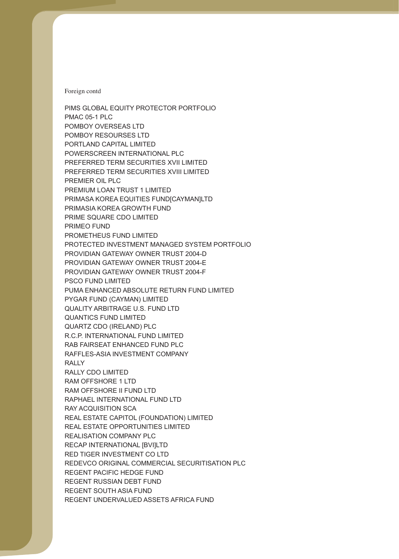PMAC 05-1 PLC PRIME SQUARE CDO LIMITED PRIMEO FUND PROMETHEUS FUND LIMITED PSCO FUND LIMITED QUANTICS FUND LIMITED PIMS GLOBAL EQUITY PROTECTOR PORTFOLIO POMBOY OVERSEAS LTD POMBOY RESOURSES LTD PORTLAND CAPITAL LIMITED POWERSCREEN INTERNATIONAL PLC PREFERRED TERM SECURITIES XVII LIMITED PREFERRED TERM SECURITIES XVIII LIMITED PREMIER OIL PLC PREMIUM LOAN TRUST 1 LIMITED PRIMASA KOREA EQUITIES FUND[CAYMAN]LTD PRIMASIA KOREA GROWTH FUND PROTECTED INVESTMENT MANAGED SYSTEM PORTFOLIO PROVIDIAN GATEWAY OWNER TRUST 2004-D PROVIDIAN GATEWAY OWNER TRUST 2004-E PROVIDIAN GATEWAY OWNER TRUST 2004-F PUMA ENHANCED ABSOLUTE RETURN FUND LIMITED PYGAR FUND (CAYMAN) LIMITED QUALITY ARBITRAGE U.S. FUND LTD QUARTZ CDO (IRELAND) PLC R.C.P. INTERNATIONAL FUND LIMITED RAB FAIRSEAT ENHANCED FUND PLC RAFFLES-ASIA INVESTMENT COMPANY RALLY RALLY CDO LIMITED RAM OFFSHORE 1 LTD RAM OFFSHORE II FUND LTD RAPHAEL INTERNATIONAL FUND LTD RAY ACQUISITION SCA REAL ESTATE CAPITOL (FOUNDATION) LIMITED REAL ESTATE OPPORTUNITIES LIMITED REALISATION COMPANY PLC RECAP INTERNATIONAL [BVI]LTD RED TIGER INVESTMENT CO LTD REDEVCO ORIGINAL COMMERCIAL SECURITISATION PLC REGENT PACIFIC HEDGE FUND REGENT RUSSIAN DEBT FUND REGENT SOUTH ASIA FUND REGENT UNDERVALUED ASSETS AFRICA FUND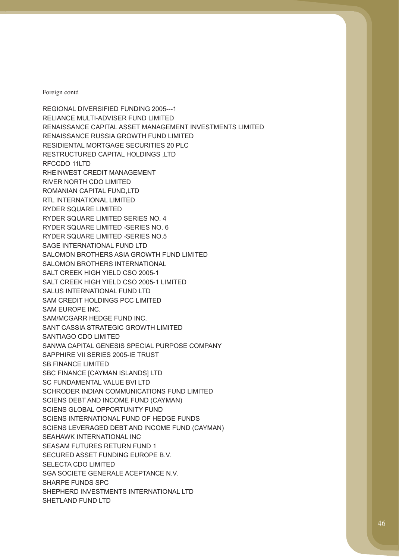SAM EUROPE INC. SAM/MCGARR HEDGE FUND INC. SANTIAGO CDO LIMITED SB FINANCE LIMITED SEASAM FUTURES RETURN FUND 1 SHARPE FUNDS SPC REGIONAL DIVERSIFIED FUNDING 2005---1 RELIANCE MULTI-ADVISER FUND LIMITED RENAISSANCE CAPITAL ASSET MANAGEMENT INVESTMENTS LIMITED RENAISSANCE RUSSIA GROWTH FUND LIMITED RESIDIENTAL MORTGAGE SECURITIES 20 PLC RESTRUCTURED CAPITAL HOLDINGS ,LTD RFCCDO 11LTD RHEINWEST CREDIT MANAGEMENT RIVER NORTH CDO LIMITED ROMANIAN CAPITAL FUND,LTD RTL INTERNATIONAL LIMITED RYDER SQUARE LIMITED RYDER SQUARE LIMITED SERIES NO. 4 RYDER SQUARE LIMITED -SERIES NO. 6 RYDER SQUARE LIMITED -SERIES NO.5 SAGE INTERNATIONAL FUND LTD SALOMON BROTHERS ASIA GROWTH FUND LIMITED SALOMON BROTHERS INTERNATIONAL SALT CREEK HIGH YIELD CSO 2005-1 SALT CREEK HIGH YIELD CSO 2005-1 LIMITED SALUS INTERNATIONAL FUND LTD SAM CREDIT HOLDINGS PCC LIMITED SANT CASSIA STRATEGIC GROWTH LIMITED SANWA CAPITAL GENESIS SPECIAL PURPOSE COMPANY SAPPHIRE VII SERIES 2005-IE TRUST SBC FINANCE [CAYMAN ISLANDS] LTD SC FUNDAMENTAL VALUE BVI LTD SCHRODER INDIAN COMMUNICATIONS FUND LIMITED SCIENS DEBT AND INCOME FUND (CAYMAN) SCIENS GLOBAL OPPORTUNITY FUND SCIENS INTERNATIONAL FUND OF HEDGE FUNDS SCIENS LEVERAGED DEBT AND INCOME FUND (CAYMAN) SEAHAWK INTERNATIONAL INC SECURED ASSET FUNDING EUROPE B.V. SELECTA CDO LIMITED SGA SOCIETE GENERALE ACEPTANCE N.V. SHEPHERD INVESTMENTS INTERNATIONAL LTD SHETLAND FUND LTD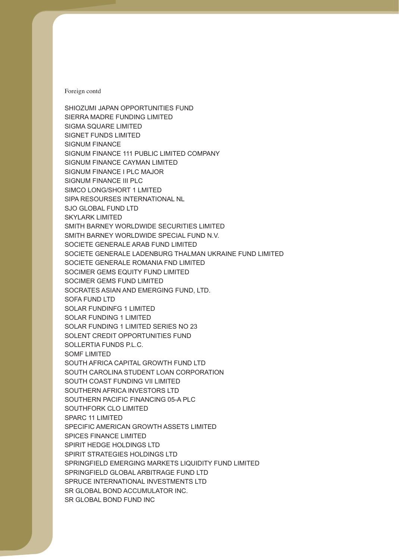SIGNUM FINANCE SIGNUM FINANCE I PLC MAJOR SIGNUM FINANCE III PLC SKYLARK LIMITED SOCIMER GEMS FUND LIMITED SOLAR FUNDINFG 1 LIMITED SOLAR FUNDING 1 LIMITED SOLAR FUNDING 1 LIMITED SERIES NO 23 SOMF LIMITED SOUTHFORK CLO LIMITED SPICES FINANCE LIMITED SHIOZUMI JAPAN OPPORTUNITIES FUND SIERRA MADRE FUNDING LIMITED SIGMA SQUARE LIMITED SIGNET FUNDS LIMITED SIGNUM FINANCE 111 PUBLIC LIMITED COMPANY SIGNUM FINANCE CAYMAN LIMITED SIMCO LONG/SHORT 1 LMITED SIPA RESOURSES INTERNATIONAL NL SJO GLOBAL FUND LTD SMITH BARNEY WORLDWIDE SECURITIES LIMITED SMITH BARNEY WORLDWIDE SPECIAL FUND N.V. SOCIETE GENERALE ARAB FUND LIMITED SOCIETE GENERALE LADENBURG THALMAN UKRAINE FUND LIMITED SOCIETE GENERALE ROMANIA FND LIMITED SOCIMER GEMS EQUITY FUND LIMITED SOCRATES ASIAN AND EMERGING FUND, LTD. SOFA FUND LTD SOLENT CREDIT OPPORTUNITIES FUND SOLLERTIA FUNDS P.L.C. SOUTH AFRICA CAPITAL GROWTH FUND LTD SOUTH CAROLINA STUDENT LOAN CORPORATION SOUTH COAST FUNDING VII LIMITED SOUTHERN AFRICA INVESTORS LTD SOUTHERN PACIFIC FINANCING 05-A PLC SPARC 11 LIMITED SPECIFIC AMERICAN GROWTH ASSETS LIMITED SPIRIT HEDGE HOLDINGS LTD SPIRIT STRATEGIES HOLDINGS LTD SPRINGFIELD EMERGING MARKETS LIQUIDITY FUND LIMITED SPRINGFIELD GLOBAL ARBITRAGE FUND LTD SPRUCE INTERNATIONAL INVESTMENTS LTD SR GLOBAL BOND ACCUMULATOR INC. SR GLOBAL BOND FUND INC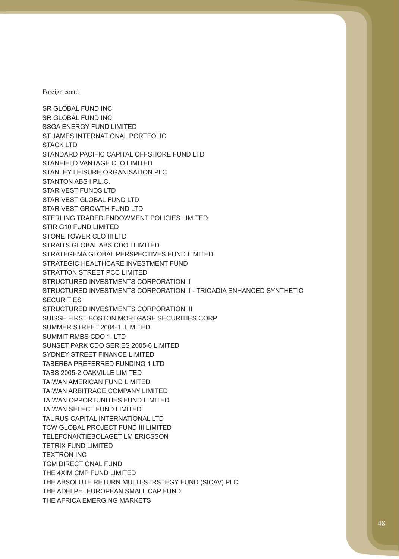STIR G10 FUND LIMITED **SECURITIES** TETRIX FUND LIMITED TEXTRON INC SR GLOBAL FUND INC SR GLOBAL FUND INC. SSGA ENERGY FUND LIMITED ST JAMES INTERNATIONAL PORTFOLIO STACK LTD STANDARD PACIFIC CAPITAL OFFSHORE FUND LTD STANFIELD VANTAGE CLO LIMITED STANLEY LEISURE ORGANISATION PLC STANTON ABS I P.L.C. STAR VEST FUNDS LTD STAR VEST GLOBAL FUND LTD STAR VEST GROWTH FUND LTD STERLING TRADED ENDOWMENT POLICIES LIMITED STONE TOWER CLO III LTD STRAITS GLOBAL ABS CDO I LIMITED STRATEGEMA GLOBAL PERSPECTIVES FUND LIMITED STRATEGIC HEALTHCARE INVESTMENT FUND STRATTON STREET PCC LIMITED STRUCTURED INVESTMENTS CORPORATION II STRUCTURED INVESTMENTS CORPORATION II - TRICADIA ENHANCED SYNTHETIC STRUCTURED INVESTMENTS CORPORATION III SUISSE FIRST BOSTON MORTGAGE SECURITIES CORP SUMMER STREET 2004-1, LIMITED SUMMIT RMBS CDO 1, LTD SUNSET PARK CDO SERIES 2005-6 LIMITED SYDNEY STREET FINANCE LIMITED TABERBA PREFERRED FUNDING 1 LTD TABS 2005-2 OAKVILLE LIMITED TAIWAN AMERICAN FUND LIMITED TAIWAN ARBITRAGE COMPANY LIMITED TAIWAN OPPORTUNITIES FUND LIMITED TAIWAN SELECT FUND LIMITED TAURUS CAPITAL INTERNATIONAL LTD TCW GLOBAL PROJECT FUND III LIMITED TELEFONAKTIEBOLAGET LM ERICSSON TGM DIRECTIONAL FUND THE 4XIM CMP FUND LIMITED THE ABSOLUTE RETURN MULTI-STRSTEGY FUND (SICAV) PLC THE ADELPHI EUROPEAN SMALL CAP FUND THE AFRICA EMERGING MARKETS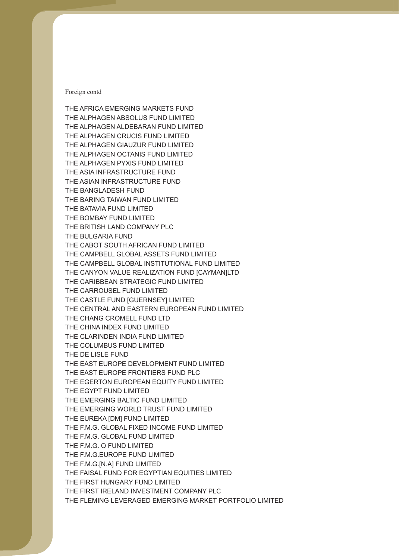THE BANGLADESH FUND THE CASTLE FUND [GUERNSEY] LIMITED THE COLUMBUS FUND LIMITED THE DE LISLE FUND THE AFRICA EMERGING MARKETS FUND THE ALPHAGEN ABSOLUS FUND LIMITED THE ALPHAGEN ALDEBARAN FUND LIMITED THE ALPHAGEN CRUCIS FUND LIMITED THE ALPHAGEN GIAUZUR FUND LIMITED THE ALPHAGEN OCTANIS FUND LIMITED THE ALPHAGEN PYXIS FUND LIMITED THE ASIA INFRASTRUCTURE FUND THE ASIAN INFRASTRUCTURE FUND THE BARING TAIWAN FUND LIMITED THE BATAVIA FUND LIMITED THE BOMBAY FUND LIMITED THE BRITISH LAND COMPANY PLC THE BULGARIA FUND THE CABOT SOUTH AFRICAN FUND LIMITED THE CAMPBELL GLOBAL ASSETS FUND LIMITED THE CAMPBELL GLOBAL INSTITUTIONAL FUND LIMITED THE CANYON VALUE REALIZATION FUND [CAYMAN]LTD THE CARIBBEAN STRATEGIC FUND LIMITED THE CARROUSEL FUND LIMITED THE CENTRAL AND EASTERN EUROPEAN FUND LIMITED THE CHANG CROMELL FUND LTD THE CHINA INDEX FUND LIMITED THE CLARINDEN INDIA FUND LIMITED THE EAST EUROPE DEVELOPMENT FUND LIMITED THE EAST EUROPE FRONTIERS FUND PLC THE EGERTON EUROPEAN EQUITY FUND LIMITED THE EGYPT FUND LIMITED THE EMERGING BALTIC FUND LIMITED THE EMERGING WORLD TRUST FUND LIMITED THE EUREKA [DM] FUND LIMITED THE F.M.G. GLOBAL FIXED INCOME FUND LIMITED THE F.M.G. GLOBAL FUND LIMITED THE F.M.G. Q FUND LIMITED THE F.M.G.EUROPE FUND LIMITED THE F.M.G.[N.A] FUND LIMITED THE FAISAL FUND FOR EGYPTIAN EQUITIES LIMITED THE FIRST HUNGARY FUND LIMITED THE FIRST IRELAND INVESTMENT COMPANY PLC THE FLEMING LEVERAGED EMERGING MARKET PORTFOLIO LIMITED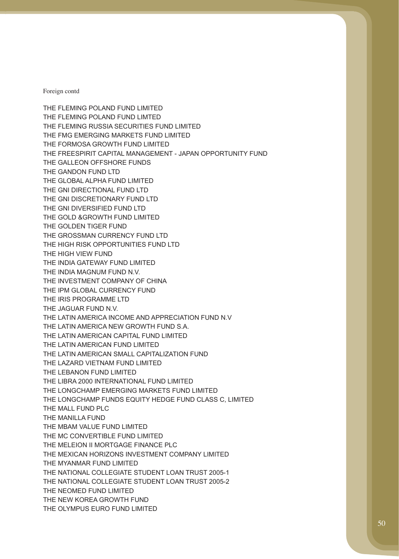THE FLEMING POLAND FUND LIMITED THE FLEMING POLAND FUND LIMTED THE FMG EMERGING MARKETS FUND LIMITED THE GALLEON OFFSHORE FUNDS THE GOLD &GROWTH FUND LIMITED THE HIGH VIEW FUND THE LAZARD VIETNAM FUND LIMITED THE LEBANON FUND LIMITED THE NEOMED FUND LIMITED THE FLEMING RUSSIA SECURITIES FUND LIMITED THE FORMOSA GROWTH FUND LIMITED THE FREESPIRIT CAPITAL MANAGEMENT - JAPAN OPPORTUNITY FUND THE GANDON FUND LTD THE GLOBAL ALPHA FUND LIMITED THE GNI DIRECTIONAL FUND LTD THE GNI DISCRETIONARY FUND LTD THE GNI DIVERSIFIED FUND LTD THE GOLDEN TIGER FUND THE GROSSMAN CURRENCY FUND LTD THE HIGH RISK OPPORTUNITIES FUND LTD THE INDIA GATEWAY FUND LIMITED THE INDIA MAGNUM FUND N.V. THE INVESTMENT COMPANY OF CHINA THE IPM GLOBAL CURRENCY FUND THE IRIS PROGRAMME LTD THE JAGUAR FUND N.V. THE LATIN AMERICA INCOME AND APPRECIATION FUND N.V THE LATIN AMERICA NEW GROWTH FUND S.A. THE LATIN AMERICAN CAPITAL FUND LIMITED THE LATIN AMERICAN FUND LIMITED THE LATIN AMERICAN SMALL CAPITALIZATION FUND THE LIBRA 2000 INTERNATIONAL FUND LIMITED THE LONGCHAMP EMERGING MARKETS FUND LIMITED THE LONGCHAMP FUNDS EQUITY HEDGE FUND CLASS C, LIMITED THE MALL FUND PLC THE MANILLA FUND THE MBAM VALUE FUND LIMITED THE MC CONVERTIBLE FUND LIMITED THE MELEION II MORTGAGE FINANCE PLC THE MEXICAN HORIZONS INVESTMENT COMPANY LIMITED THE MYANMAR FUND LIMITED THE NATIONAL COLLEGIATE STUDENT LOAN TRUST 2005-1 THE NATIONAL COLLEGIATE STUDENT LOAN TRUST 2005-2 THE NEW KOREA GROWTH FUND THE OLYMPUS EURO FUND LIMITED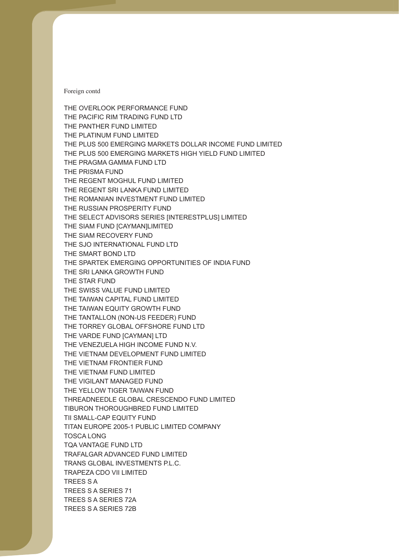THE OVERLOOK PERFORMANCE FUND THE PLUS 500 EMERGING MARKETS DOLLAR INCOME FUND LIMITED THE VIETNAM FRONTIER FUND THE VIETNAM FUND LIMITED THE PACIFIC RIM TRADING FUND LTD THE PANTHER FUND LIMITED THE PLATINUM FUND LIMITED THE PLUS 500 EMERGING MARKETS HIGH YIELD FUND LIMITED THE PRAGMA GAMMA FUND LTD THE PRISMA FUND THE REGENT MOGHUL FUND LIMITED THE REGENT SRI LANKA FUND LIMITED THE ROMANIAN INVESTMENT FUND LIMITED THE RUSSIAN PROSPERITY FUND THE SELECT ADVISORS SERIES [INTERESTPLUS] LIMITED THE SIAM FUND [CAYMAN]LIMITED THE SIAM RECOVERY FUND THE SJO INTERNATIONAL FUND LTD THE SMART BOND LTD THE SPARTEK EMERGING OPPORTUNITIES OF INDIA FUND THE SRI LANKA GROWTH FUND THE STAR FUND THE SWISS VALUE FUND LIMITED THE TAIWAN CAPITAL FUND LIMITED THE TAIWAN EQUITY GROWTH FUND THE TANTALLON (NON-US FEEDER) FUND THE TORREY GLOBAL OFFSHORE FUND LTD THE VARDE FUND [CAYMAN] LTD THE VENEZUELA HIGH INCOME FUND N.V. THE VIETNAM DEVELOPMENT FUND LIMITED THE VIGILANT MANAGED FUND THE YELLOW TIGER TAIWAN FUND THREADNEEDLE GLOBAL CRESCENDO FUND LIMITED TIBURON THOROUGHBRED FUND LIMITED TII SMALL-CAP EQUITY FUND TITAN EUROPE 2005-1 PUBLIC LIMITED COMPANY TOSCA LONG TQA VANTAGE FUND LTD TRAFALGAR ADVANCED FUND LIMITED TRANS GLOBAL INVESTMENTS P.L.C. TRAPEZA CDO VII LIMITED TREES S A TREES S A SERIES 71 TREES S A SERIES 72A TREES S A SERIES 72B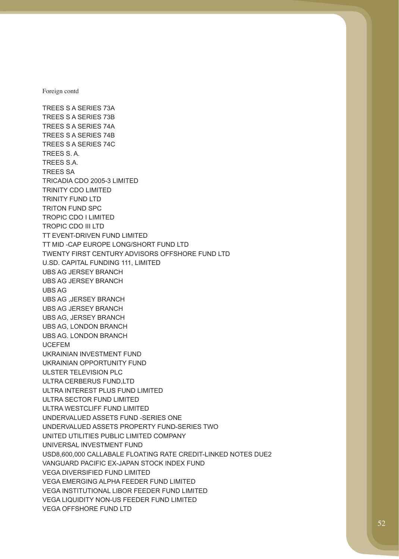TREES S.A. TREES SA TROPIC CDO I LIMITED UCEFEM TREES S A SERIES 73A TREES S A SERIES 73B TREES S A SERIES 74A TREES S A SERIES 74B TREES S A SERIES 74C TREES S. A. TRICADIA CDO 2005-3 LIMITED TRINITY CDO LIMITED TRINITY FUND LTD TRITON FUND SPC TROPIC CDO III LTD TT EVENT-DRIVEN FUND LIMITED TT MID -CAP EUROPE LONG/SHORT FUND LTD TWENTY FIRST CENTURY ADVISORS OFFSHORE FUND LTD U.SD. CAPITAL FUNDING 111, LIMITED UBS AG JERSEY BRANCH UBS AG JERSEY BRANCH UBS AG UBS AG ,JERSEY BRANCH UBS AG JERSEY BRANCH UBS AG, JERSEY BRANCH UBS AG, LONDON BRANCH UBS AG. LONDON BRANCH UKRAINIAN INVESTMENT FUND UKRAINIAN OPPORTUNITY FUND ULSTER TELEVISION PLC ULTRA CERBERUS FUND,LTD ULTRA INTEREST PLUS FUND LIMITED ULTRA SECTOR FUND LIMITED ULTRA WESTCLIFF FUND LIMITED UNDERVALUED ASSETS FUND -SERIES ONE UNDERVALUED ASSETS PROPERTY FUND-SERIES TWO UNITED UTILITIES PUBLIC LIMITED COMPANY UNIVERSAL INVESTMENT FUND USD8,600,000 CALLABALE FLOATING RATE CREDIT-LINKED NOTES DUE2 VANGUARD PACIFIC EX-JAPAN STOCK INDEX FUND VEGA DIVERSIFIED FUND LIMITED VEGA EMERGING ALPHA FEEDER FUND LIMITED VEGA INSTITUTIONAL LIBOR FEEDER FUND LIMITED VEGA LIQUIDITY NON-US FEEDER FUND LIMITED VEGA OFFSHORE FUND LTD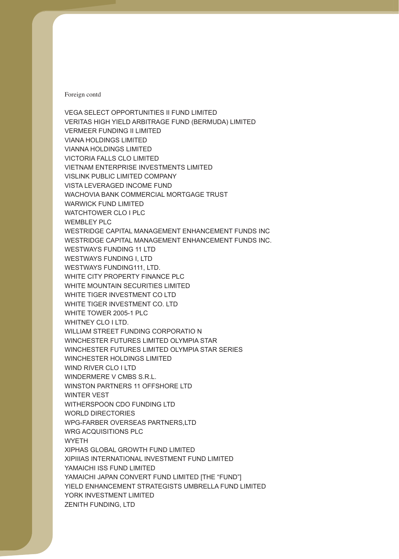VERMEER FUNDING II LIMITED VIETNAM ENTERPRISE INVESTMENTS LIMITED WINCHESTER HOLDINGS LIMITED WINDERMERE V CMBS S.R.L. WINTER VEST WYETH VEGA SELECT OPPORTUNITIES II FUND LIMITED VERITAS HIGH YIELD ARBITRAGE FUND (BERMUDA) LIMITED VIANA HOLDINGS LIMITED VIANNA HOLDINGS LIMITED VICTORIA FALLS CLO LIMITED VISLINK PUBLIC LIMITED COMPANY VISTA LEVERAGED INCOME FUND WACHOVIA BANK COMMERCIAL MORTGAGE TRUST WARWICK FUND LIMITED WATCHTOWER CLO I PLC WEMBLEY PLC WESTRIDGE CAPITAL MANAGEMENT ENHANCEMENT FUNDS INC WESTRIDGE CAPITAL MANAGEMENT ENHANCEMENT FUNDS INC. WESTWAYS FUNDING 11 LTD WESTWAYS FUNDING I, LTD WESTWAYS FUNDING111, LTD. WHITE CITY PROPERTY FINANCE PLC WHITE MOUNTAIN SECURITIES LIMITED WHITE TIGER INVESTMENT CO LTD WHITE TIGER INVESTMENT CO. LTD WHITE TOWER 2005-1 PLC WHITNEY CLO I LTD. WILLIAM STREET FUNDING CORPORATIO N WINCHESTER FUTURES LIMITED OLYMPIA STAR WINCHESTER FUTURES LIMITED OLYMPIA STAR SERIES WIND RIVER CLO I LTD WINSTON PARTNERS 11 OFFSHORE LTD WITHERSPOON CDO FUNDING LTD WORLD DIRECTORIES WPG-FARBER OVERSEAS PARTNERS,LTD WRG ACQUISITIONS PLC XIPHAS GLOBAL GROWTH FUND LIMITED XIPIIIAS INTERNATIONAL INVESTMENT FUND LIMITED YAMAICHI ISS FUND LIMITED YAMAICHI JAPAN CONVERT FUND LIMITED [THE "FUND"] YIELD ENHANCEMENT STRATEGISTS UMBRELLA FUND LIMITED YORK INVESTMENT LIMITED ZENITH FUNDING, LTD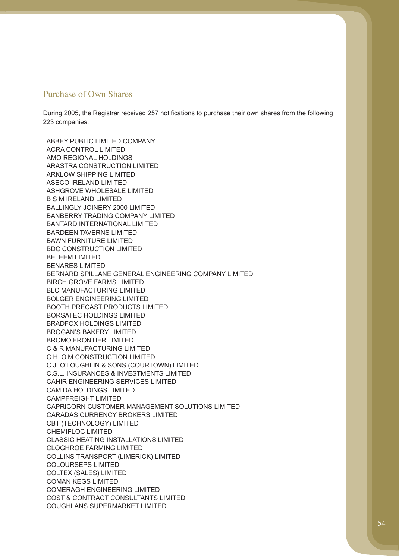## Purchase of Own Shares

223 companies: During 2005, the Registrar received 257 notifications to purchase their own shares from the following

ARKLOW SHIPPING LIMITED ASECO IRELAND LIMITED ASHGROVE WHOLESALE LIMITED B S M IRELAND LIMITED BDC CONSTRUCTION LIMITED BELEEM LIMITED BENARES LIMITED BOLGER ENGINEERING LIMITED BRADFOX HOLDINGS LIMITED BROMO FRONTIER LIMITED C.H. O'M CONSTRUCTION LIMITED C.S.L. INSURANCES & INVESTMENTS LIMITED CHEMIFLOC LIMITED COLOURSEPS LIMITED COMAN KEGS LIMITED COMERAGH ENGINEERING LIMITED ABBEY PUBLIC LIMITED COMPANY ACRA CONTROL LIMITED AMO REGIONAL HOLDINGS ARASTRA CONSTRUCTION LIMITED BALLINGLY JOINERY 2000 LIMITED BANBERRY TRADING COMPANY LIMITED BANTARD INTERNATIONAL LIMITED BARDEEN TAVERNS LIMITED BAWN FURNITURE LIMITED BERNARD SPILLANE GENERAL ENGINEERING COMPANY LIMITED BIRCH GROVE FARMS LIMITED BLC MANUFACTURING LIMITED BOOTH PRECAST PRODUCTS LIMITED BORSATEC HOLDINGS LIMITED BROGAN'S BAKERY LIMITED C & R MANUFACTURING LIMITED C.J. O'LOUGHLIN & SONS (COURTOWN) LIMITED CAHIR ENGINEERING SERVICES LIMITED CAMIDA HOLDINGS LIMITED CAMPFREIGHT LIMITED CAPRICORN CUSTOMER MANAGEMENT SOLUTIONS LIMITED CARADAS CURRENCY BROKERS LIMITED CBT (TECHNOLOGY) LIMITED CLASSIC HEATING INSTALLATIONS LIMITED CLOGHROE FARMING LIMITED COLLINS TRANSPORT (LIMERICK) LIMITED COLTEX (SALES) LIMITED COST & CONTRACT CONSULTANTS LIMITED COUGHLANS SUPERMARKET LIMITED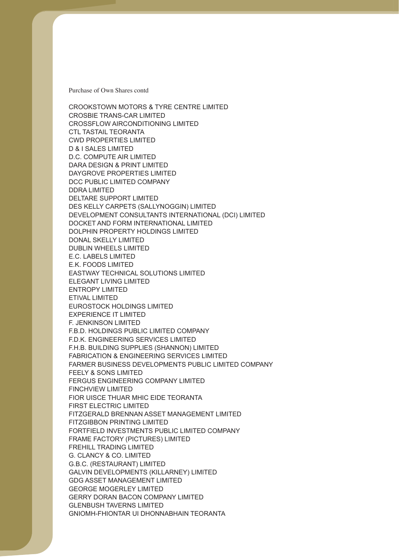D & I SALES LIMITED DUBLIN WHEELS LIMITED E.C. LABELS LIMITED E.K. FOODS LIMITED FINCHVIEW LIMITED FITZGIBBON PRINTING LIMITED CROOKSTOWN MOTORS & TYRE CENTRE LIMITED CROSBIE TRANS-CAR LIMITED CROSSFLOW AIRCONDITIONING LIMITED CTL TASTAIL TEORANTA CWD PROPERTIES LIMITED D.C. COMPUTE AIR LIMITED DARA DESIGN & PRINT LIMITED DAYGROVE PROPERTIES LIMITED DCC PUBLIC LIMITED COMPANY DDRA LIMITED DELTARE SUPPORT LIMITED DES KELLY CARPETS (SALLYNOGGIN) LIMITED DEVELOPMENT CONSULTANTS INTERNATIONAL (DCI) LIMITED DOCKET AND FORM INTERNATIONAL LIMITED DOLPHIN PROPERTY HOLDINGS LIMITED DONAL SKELLY LIMITED EASTWAY TECHNICAL SOLUTIONS LIMITED ELEGANT LIVING LIMITED ENTROPY LIMITED ETIVAL LIMITED EUROSTOCK HOLDINGS LIMITED EXPERIENCE IT LIMITED F. JENKINSON LIMITED F.B.D. HOLDINGS PUBLIC LIMITED COMPANY F.D.K. ENGINEERING SERVICES LIMITED F.H.B. BUILDING SUPPLIES (SHANNON) LIMITED FABRICATION & ENGINEERING SERVICES LIMITED FARMER BUSINESS DEVELOPMENTS PUBLIC LIMITED COMPANY FEELY & SONS LIMITED FERGUS ENGINEERING COMPANY LIMITED FIOR UISCE THUAR MHIC EIDE TEORANTA FIRST ELECTRIC LIMITED FITZGERALD BRENNAN ASSET MANAGEMENT LIMITED FORTFIELD INVESTMENTS PUBLIC LIMITED COMPANY FRAME FACTORY (PICTURES) LIMITED FREHILL TRADING LIMITED G. CLANCY & CO. LIMITED G.B.C. (RESTAURANT) LIMITED GALVIN DEVELOPMENTS (KILLARNEY) LIMITED GDG ASSET MANAGEMENT LIMITED GEORGE MOGERLEY LIMITED GERRY DORAN BACON COMPANY LIMITED GLENBUSH TAVERNS LIMITED GNIOMH-FHIONTAR UI DHONNABHAIN TEORANTA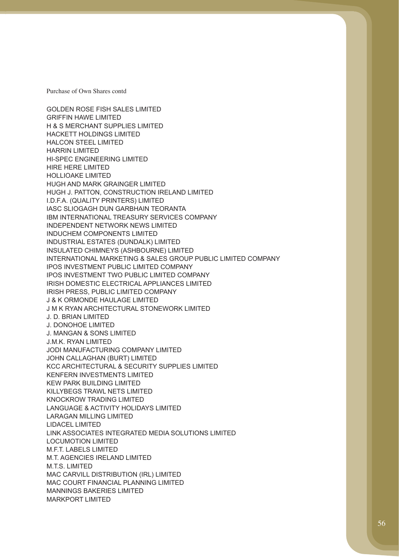GOLDEN ROSE FISH SALES LIMITED HARRIN LIMITED HI-SPEC ENGINEERING LIMITED HIRE HERE LIMITED HOLLIOAKE LIMITED INDUCHEM COMPONENTS LIMITED J & K ORMONDE HAULAGE LIMITED J. D. BRIAN LIMITED J. DONOHOE LIMITED J. MANGAN & SONS LIMITED KENFERN INVESTMENTS LIMITED LARAGAN MILLING LIMITED LOCUMOTION LIMITED MANNINGS BAKERIES LIMITED GRIFFIN HAWE LIMITED H & S MERCHANT SUPPLIES LIMITED HACKETT HOLDINGS LIMITED HALCON STEEL LIMITED HUGH AND MARK GRAINGER LIMITED HUGH J. PATTON, CONSTRUCTION IRELAND LIMITED I.D.F.A. (QUALITY PRINTERS) LIMITED IASC SLIOGAGH DUN GARBHAIN TEORANTA IBM INTERNATIONAL TREASURY SERVICES COMPANY INDEPENDENT NETWORK NEWS LIMITED INDUSTRIAL ESTATES (DUNDALK) LIMITED INSULATED CHIMNEYS (ASHBOURNE) LIMITED INTERNATIONAL MARKETING & SALES GROUP PUBLIC LIMITED COMPANY IPOS INVESTMENT PUBLIC LIMITED COMPANY IPOS INVESTMENT TWO PUBLIC LIMITED COMPANY IRISH DOMESTIC ELECTRICAL APPLIANCES LIMITED IRISH PRESS, PUBLIC LIMITED COMPANY J M K RYAN ARCHITECTURAL STONEWORK LIMITED J.M.K. RYAN LIMITED JODI MANUFACTURING COMPANY LIMITED JOHN CALLAGHAN (BURT) LIMITED KCC ARCHITECTURAL & SECURITY SUPPLIES LIMITED KEW PARK BUILDING LIMITED KILLYBEGS TRAWL NETS LIMITED KNOCKROW TRADING LIMITED LANGUAGE & ACTIVITY HOLIDAYS LIMITED LIDACEL LIMITED LINK ASSOCIATES INTEGRATED MEDIA SOLUTIONS LIMITED M.F.T. LABELS LIMITED M.T. AGENCIES IRELAND LIMITED M.T.S. LIMITED MAC CARVILL DISTRIBUTION (IRL) LIMITED MAC COURT FINANCIAL PLANNING LIMITED MARKPORT LIMITED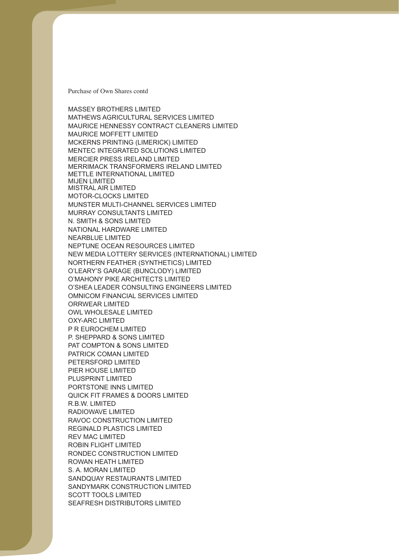MCKERNS PRINTING (LIMERICK) LIMITED MERCIER PRESS IRELAND LIMITED MIJEN LIMITED N. SMITH & SONS LIMITED NEARBLUE LIMITED NEPTUNE OCEAN RESOURCES LIMITED PETERSFORD LIMITED PIER HOUSE LIMITED REGINALD PLASTICS LIMITED REV MAC LIMITED RONDEC CONSTRUCTION LIMITED SANDYMARK CONSTRUCTION LIMITED MASSEY BROTHERS LIMITED MATHEWS AGRICULTURAL SERVICES LIMITED MAURICE HENNESSY CONTRACT CLEANERS LIMITED MAURICE MOFFETT LIMITED MENTEC INTEGRATED SOLUTIONS LIMITED MERRIMACK TRANSFORMERS IRELAND LIMITED METTLE INTERNATIONAL LIMITED MISTRAL AIR LIMITED MOTOR-CLOCKS LIMITED MUNSTER MULTI-CHANNEL SERVICES LIMITED MURRAY CONSULTANTS LIMITED NATIONAL HARDWARE LIMITED NEW MEDIA LOTTERY SERVICES (INTERNATIONAL) LIMITED NORTHERN FEATHER (SYNTHETICS) LIMITED O'LEARY'S GARAGE (BUNCLODY) LIMITED O'MAHONY PIKE ARCHITECTS LIMITED O'SHEA LEADER CONSULTING ENGINEERS LIMITED OMNICOM FINANCIAL SERVICES LIMITED ORRWEAR LIMITED OWL WHOLESALE LIMITED OXY-ARC LIMITED P R EUROCHEM LIMITED P. SHEPPARD & SONS LIMITED PAT COMPTON & SONS LIMITED PATRICK COMAN LIMITED PLUSPRINT LIMITED PORTSTONE INNS LIMITED QUICK FIT FRAMES & DOORS LIMITED R.B.W. LIMITED RADIOWAVE LIMITED RAVOC CONSTRUCTION LIMITED ROBIN FLIGHT LIMITED ROWAN HEATH LIMITED S. A. MORAN LIMITED SANDQUAY RESTAURANTS LIMITED SCOTT TOOLS LIMITED SEAFRESH DISTRIBUTORS LIMITED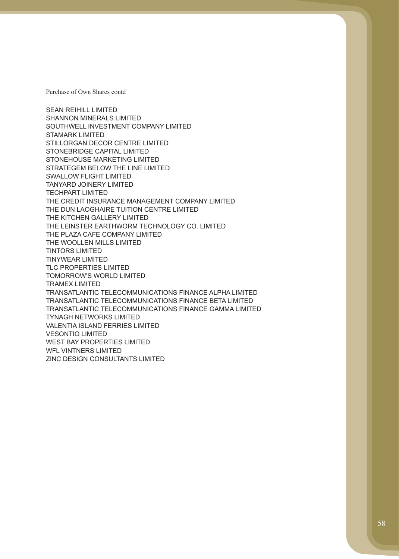SHANNON MINERALS LIMITED STILLORGAN DECOR CENTRE LIMITED THE WOOLLEN MILLS LIMITED TINYWEAR LIMITED TRAMEX LIMITED TYNAGH NETWORKS LIMITED VESONTIO LIMITED SEAN REIHILL LIMITED SOUTHWELL INVESTMENT COMPANY LIMITED STAMARK LIMITED STONEBRIDGE CAPITAL LIMITED STONEHOUSE MARKETING LIMITED STRATEGEM BELOW THE LINE LIMITED SWALLOW FLIGHT LIMITED TANYARD JOINERY LIMITED TECHPART LIMITED THE CREDIT INSURANCE MANAGEMENT COMPANY LIMITED THE DUN LAOGHAIRE TUITION CENTRE LIMITED THE KITCHEN GALLERY LIMITED THE LEINSTER EARTHWORM TECHNOLOGY CO. LIMITED THE PLAZA CAFE COMPANY LIMITED TINTORS LIMITED TLC PROPERTIES LIMITED TOMORROW'S WORLD LIMITED TRANSATLANTIC TELECOMMUNICATIONS FINANCE ALPHA LIMITED TRANSATLANTIC TELECOMMUNICATIONS FINANCE BETA LIMITED TRANSATLANTIC TELECOMMUNICATIONS FINANCE GAMMA LIMITED VALENTIA ISLAND FERRIES LIMITED WEST BAY PROPERTIES LIMITED WFL VINTNERS LIMITED ZINC DESIGN CONSULTANTS LIMITED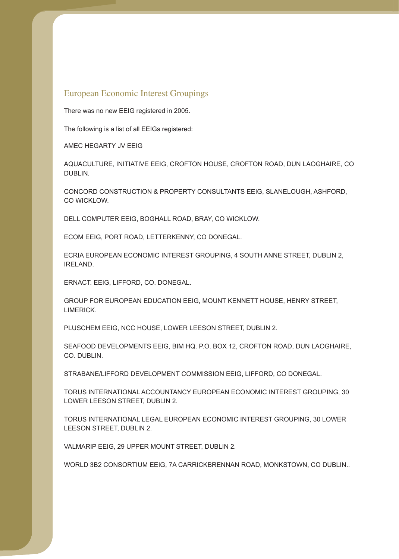## European Economic Interest Groupings

There was no new EEIG registered in 2005.

The following is a list of all EEIGs registered:

AMEC HEGARTY JV EEIG

DUBLIN. AQUACULTURE, INITIATIVE EEIG, CROFTON HOUSE, CROFTON ROAD, DUN LAOGHAIRE, CO

CONCORD CONSTRUCTION & PROPERTY CONSULTANTS EEIG, SLANELOUGH, ASHFORD, CO WICKLOW.

DELL COMPUTER EEIG, BOGHALL ROAD, BRAY, CO WICKLOW.

ECOM EEIG, PORT ROAD, LETTERKENNY, CO DONEGAL.

IRELAND. ECRIA EUROPEAN ECONOMIC INTEREST GROUPING, 4 SOUTH ANNE STREET, DUBLIN 2,

ERNACT. EEIG, LIFFORD, CO. DONEGAL.

**LIMERICK** GROUP FOR EUROPEAN EDUCATION EEIG, MOUNT KENNETT HOUSE, HENRY STREET,

PLUSCHEM EEIG, NCC HOUSE, LOWER LEESON STREET, DUBLIN 2.

CO. DUBLIN. SEAFOOD DEVELOPMENTS EEIG, BIM HQ. P.O. BOX 12, CROFTON ROAD, DUN LAOGHAIRE,

STRABANE/LIFFORD DEVELOPMENT COMMISSION EEIG, LIFFORD, CO DONEGAL.

TORUS INTERNATIONAL ACCOUNTANCY EUROPEAN ECONOMIC INTEREST GROUPING, 30 LOWER LEESON STREET, DUBLIN 2.

TORUS INTERNATIONAL LEGAL EUROPEAN ECONOMIC INTEREST GROUPING, 30 LOWER LEESON STREET, DUBLIN 2.

VALMARIP EEIG, 29 UPPER MOUNT STREET, DUBLIN 2.

WORLD 3B2 CONSORTIUM EEIG, 7A CARRICKBRENNAN ROAD, MONKSTOWN, CO DUBLIN..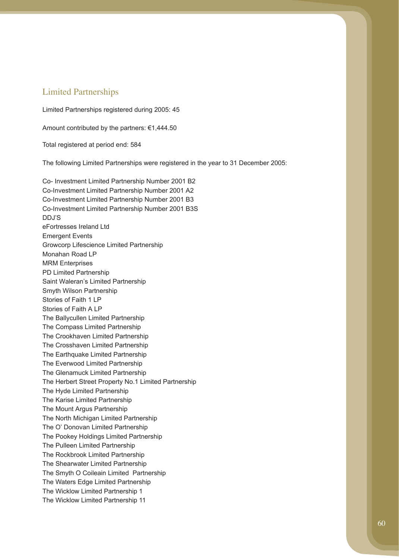## Limited Partnerships

Limited Partnerships registered during 2005: 45

Amount contributed by the partners: €1,444.50

Total registered at period end: 584

The following Limited Partnerships were registered in the year to 31 December 2005:

Co- Investment Limited Partnership Number 2001 B2 Co-Investment Limited Partnership Number 2001 A2 Co-Investment Limited Partnership Number 2001 B3 Co-Investment Limited Partnership Number 2001 B3S DDJ'S eFortresses Ireland Ltd Emergent Events Growcorp Lifescience Limited Partnership Monahan Road LP MRM Enterprises PD Limited Partnership Saint Waleran's Limited Partnership Smyth Wilson Partnership Stories of Faith 1 LP Stories of Faith A LP The Ballycullen Limited Partnership The Compass Limited Partnership The Crookhaven Limited Partnership The Crosshaven Limited Partnership The Earthquake Limited Partnership The Everwood Limited Partnership The Glenamuck Limited Partnership The Herbert Street Property No.1 Limited Partnership The Hyde Limited Partnership The Karise Limited Partnership The Mount Argus Partnership The North Michigan Limited Partnership The O' Donovan Limited Partnership The Pookey Holdings Limited Partnership The Pulleen Limited Partnership The Rockbrook Limited Partnership The Shearwater Limited Partnership The Smyth O Coileain Limited Partnership The Wicklow Limited Partnership 1 The Waters Edge Limited Partnership The Wicklow Limited Partnership 11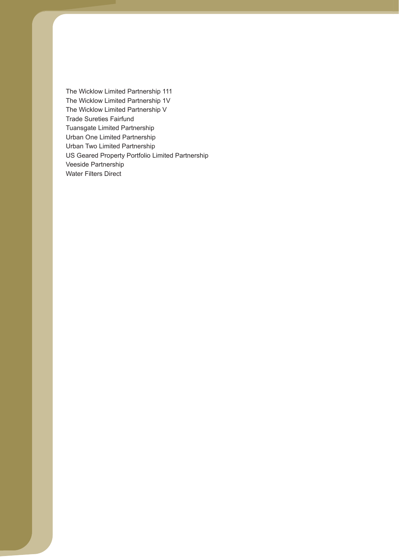The Wicklow Limited Partnership 1V The Wicklow Limited Partnership V Urban One Limited Partnership US Geared Property Portfolio Limited Partnership The Wicklow Limited Partnership 111 Trade Sureties Fairfund Tuansgate Limited Partnership Urban Two Limited Partnership Veeside Partnership Water Filters Direct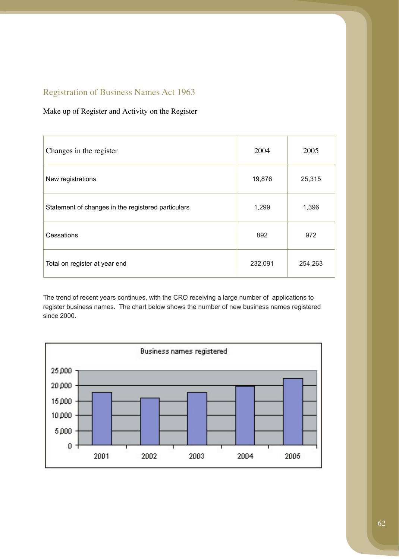# Registration of Business Names Act 1963

## Make up of Register and Activity on the Register

| Changes in the register                            | 2004    | 2005    |
|----------------------------------------------------|---------|---------|
| New registrations                                  | 19,876  | 25,315  |
| Statement of changes in the registered particulars | 1,299   | 1,396   |
| Cessations                                         | 892     | 972     |
| Total on register at year end                      | 232,091 | 254,263 |

The trend of recent years continues, with the CRO receiving a large number of applications to register business names. The chart below shows the number of new business names registered since 2000.

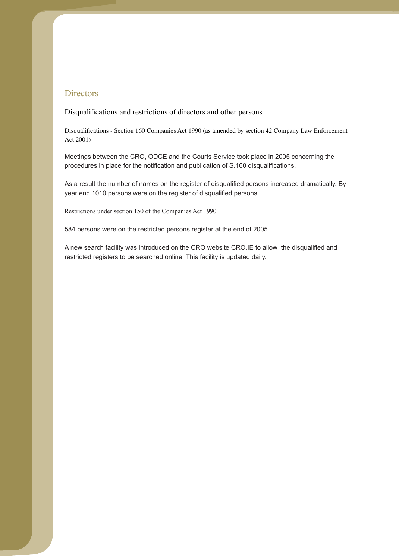## **Directors**

Disqualifications and restrictions of directors and other persons

Act 2001) Disqualifications - Section 160 Companies Act 1990 (as amended by section 42 Company Law Enforcement

Meetings between the CRO, ODCE and the Courts Service took place in 2005 concerning the procedures in place for the notification and publication of S.160 disqualifications.

As a result the number of names on the register of disqualified persons increased dramatically. By year end 1010 persons were on the register of disqualified persons.

Restrictions under section 150 of the Companies Act 1990

584 persons were on the restricted persons register at the end of 2005.

A new search facility was introduced on the CRO website CRO.IE to allow the disqualified and restricted registers to be searched online .This facility is updated daily.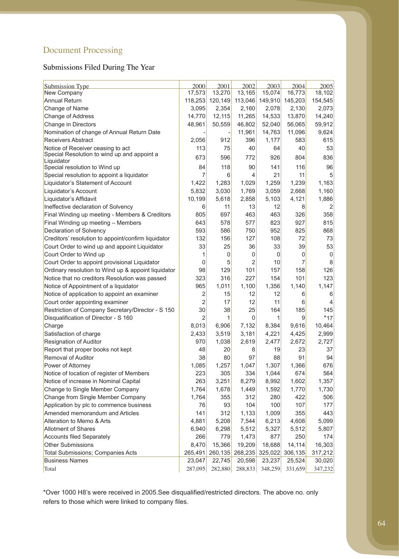# Document Processing

## Submissions Filed During The Year

| <b>Submission Type</b>                                    | 2000           | 2001     | 2002           | 2003    | 2004    | 2005           |
|-----------------------------------------------------------|----------------|----------|----------------|---------|---------|----------------|
| New Company                                               | 17,573         | 13,270   | 13,165         | 15,074  | 16,773  | 18,102         |
| <b>Annual Return</b>                                      | 118,253        | 120, 149 | 113,046        | 149,910 | 145,203 | 154,545        |
| Change of Name                                            | 3,095          | 2,354    | 2,160          | 2,078   | 2,130   | 2,073          |
| <b>Change of Address</b>                                  | 14,770         | 12,115   | 11,265         | 14,533  | 13,870  | 14,240         |
| Change in Directors                                       | 48,961         | 50,559   | 46,802         | 52,040  | 56,065  | 59,912         |
| Nomination of change of Annual Return Date                |                |          | 11,961         | 14,763  | 11,096  | 9,624          |
| <b>Receivers Abstract</b>                                 | 2,056          | 912      | 396            | 1,177   | 583     | 615            |
| Notice of Receiver ceasing to act                         | 113            | 75       | 40             | 64      | 40      | 53             |
| Special Resolution to wind up and appoint a<br>Liquidator | 673            | 596      | 772            | 926     | 804     | 836            |
| Special resolution to Wind up                             | 84             | 118      | 90             | 141     | 116     | 96             |
| Special resolution to appoint a liquidator                | 7              | 6        | 4              | 21      | 11      | 5              |
| Liquidator's Statement of Account                         | 1,422          | 1,283    | 1,029          | 1,259   | 1,239   | 1,163          |
| Liquidator's Account                                      | 5,832          | 3,030    | 1,769          | 3,059   | 2,668   | 1,160          |
| Liquidator's Affidavit                                    | 10,199         | 5,618    | 2,858          | 5,103   | 4,121   | 1,886          |
| Ineffective declaration of Solvency                       | 6              | 11       | 13             | 12      | 8       | 2              |
| Final Winding up meeting - Members & Creditors            | 805            | 697      | 463            | 463     | 326     | 358            |
| Final Winding up meeting - Members                        | 643            | 578      | 577            | 823     | 927     | 815            |
| <b>Declaration of Solvency</b>                            | 593            | 586      | 750            | 952     | 825     | 868            |
| Creditors' resolution to appoint/confirm liquidator       | 132            | 156      | 127            | 108     | 72      | 73             |
| Court Order to wind up and appoint Liquidator             | 33             | 25       | 36             | 33      | 39      | 53             |
| Court Order to Wind up                                    | 1              | 0        | 0              | 0       | 0       | 0              |
|                                                           | 0              | 5        | $\overline{2}$ | 10      | 7       | 8              |
| Court Order to appoint provisional Liquidator             | 98             | 129      | 101            | 157     | 158     | 126            |
| Ordinary resolution to Wind up & appoint liquidator       | 323            | 316      | 227            | 154     | 101     |                |
| Notice that no creditors Resolution was passed            | 965            |          |                |         |         | 123            |
| Notice of Appointment of a liquidator                     |                | 1,011    | 1,100          | 1,356   | 1,140   | 1,147          |
| Notice of application to appoint an examiner              | 2              | 15       | 12             | 12      | 6       | 6              |
| Court order appointing examiner                           | $\overline{2}$ | 17       | 12             | 11      | 6       | $\overline{4}$ |
| Restriction of Company Secretary/Director - S 150         | 30             | 38       | 25             | 164     | 185     | 145            |
| Disqualification of Director - S 160                      | $\overline{2}$ | 1        | 0              | 1       | 9       | $*17$          |
| Charge                                                    | 8,013          | 6,906    | 7,132          | 8,384   | 9,616   | 10,464         |
| Satisfaction of charge                                    | 2,433          | 3,519    | 3,181          | 4,221   | 4,425   | 2,999          |
| <b>Resignation of Auditor</b>                             | 970            | 1,038    | 2,619          | 2,477   | 2,672   | 2,727          |
| Report that proper books not kept                         | 48             | 20       | 8              | 19      | 23      | 37             |
| Removal of Auditor                                        | 38             | 80       | 97             | 88      | 91      | 94             |
| Power of Attorney                                         | 1,085          | 1,257    | 1,047          | 1,307   | 1,366   | 676            |
| Notice of location of register of Members                 | 223            | 305      | 334            | 1,044   | 674     | 564            |
| Notice of increase in Nominal Capital                     | 263            | 3,251    | 8,279          | 8,992   | 1,602   | 1,357          |
| Change to Single Member Company                           | 1,764          | 1,678    | 1,449          | 1,592   | 1,770   | 1,730          |
| Change from Single Member Company                         | 1,764          | 355      | 312            | 280     | 422     | 506            |
| Application by plc to commence business                   | 76             | 93       | 104            | 100     | 107     | 177            |
| Amended memorandum and Articles                           | 141            | 312      | 1,133          | 1,009   | 355     | 443            |
| Alteration to Memo & Arts                                 | 4,881          | 5,208    | 7,544          | 6,213   | 4,608   | 5,099          |
| <b>Allotment of Shares</b>                                | 6,940          | 6,298    | 5,512          | 5,327   | 5,512   | 5,807          |
| Accounts filed Separately                                 | 266            | 779      | 1,473          | 877     | 250     | 174            |
| <b>Other Submissions</b>                                  | 8,470          | 15,366   | 19,209         | 18,688  | 14,114  | 16,303         |
| <b>Total Submissions; Companies Acts</b>                  | 265,491        | 260,135  | 268,235        | 325,022 | 306,135 | 317,212        |
| <b>Business Names</b>                                     | 23,047         | 22,745   | 20,598         | 23,237  | 25,524  | 30,020         |
| Total                                                     | 287,095        | 282,880  | 288,833        | 348,259 | 331,659 | 347,232        |

\*Over 1000 H8's were received in 2005.See disqualified/restricted directors. The above no. only refers to those which were linked to company files.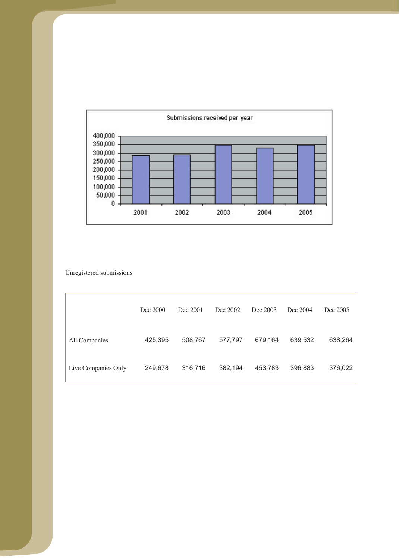

Unregistered submissions

|                     | Dec 2000 | Dec 2001 | Dec 2002 | Dec 2003 | Dec 2004 | Dec 2005 |
|---------------------|----------|----------|----------|----------|----------|----------|
| All Companies       | 425,395  | 508,767  | 577,797  | 679,164  | 639,532  | 638,264  |
| Live Companies Only | 249,678  | 316,716  | 382,194  | 453,783  | 396,883  | 376,022  |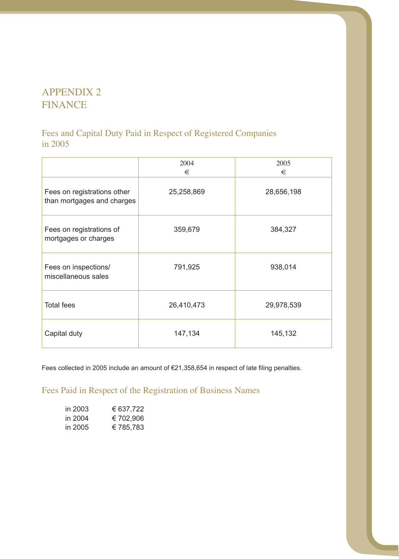# APPENDIX 2 FINANCE

## Fees and Capital Duty Paid in Respect of Registered Companies in 2005

|                                                           | 2004<br>€  | 2005<br>€  |
|-----------------------------------------------------------|------------|------------|
| Fees on registrations other<br>than mortgages and charges | 25,258,869 | 28,656,198 |
| Fees on registrations of<br>mortgages or charges          | 359,679    | 384,327    |
| Fees on inspections/<br>miscellaneous sales               | 791,925    | 938,014    |
| <b>Total fees</b>                                         | 26,410,473 | 29,978,539 |
| Capital duty                                              | 147,134    | 145,132    |

Fees collected in 2005 include an amount of €21,358,654 in respect of late filing penalties.

Fees Paid in Respect of the Registration of Business Names

| in 2003 | € 637,722 |
|---------|-----------|
| in 2004 | € 702,906 |
| in 2005 | €785,783  |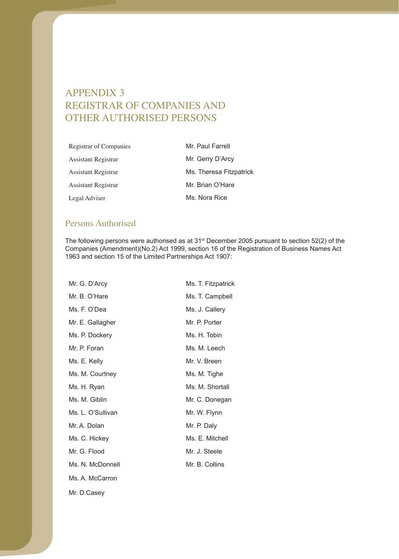# APPENDIX 3 REGISTRAR OF COMPANIES AND OTHER AUTHORISED PERSONS

| Registrar of Companies | Mr. Paul Farrell        |
|------------------------|-------------------------|
| Assistant Registrar    | Mr. Gerry D'Arcy        |
| Assistant Registrar    | Ms. Theresa Fitzpatrick |
| Assistant Registrar    | Mr. Brian O'Hare        |
| Legal Adviser          | Ms. Nora Rice           |

## Persons Authorised

The following persons were authorised as at 31<sup>st</sup> December 2005 pursuant to section 52(2) of the Companies (Amendment)(No.2) Act 1999, section 16 of the Registration of Business Names Act 1963 and section 15 of the Limited Partnerships Act 1907:

| Mr. G. D'Arcy     | Ms. T. Fitzpatrick |
|-------------------|--------------------|
| Mr. B. O'Hare     | Ms. T. Campbell    |
| Ms. F. O'Dea      | Ms. J. Callery     |
| Mr. E. Gallagher  | Mr. P. Porter      |
| Ms. P. Dockery    | Ms. H. Tobin       |
| Mr. P. Foran      | Ms. M. Leech       |
| Ms. E. Kelly      | Mr. V. Breen       |
| Ms. M. Courtney   | Ms. M. Tighe       |
| Ms. H. Ryan       | Ms. M. Shortall    |
| Ms. M. Giblin     | Mr. C. Donegan     |
| Ms. L. O'Sullivan | Mr. W. Flynn       |
| Mr. A. Dolan      | Mr. P. Daly        |
| Ms. C. Hickey     | Ms. E. Mitchell    |
| Mr. G. Flood      | Mr. J. Steele      |
| Ms. N. McDonnell  | Mr. B. Collins     |
| Ms. A. McCarron   |                    |
| Mr. D.Casev       |                    |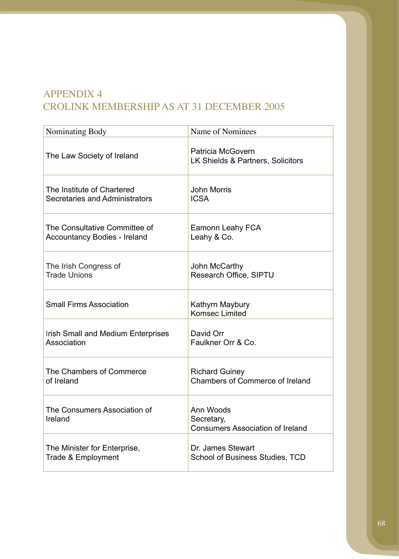# APPENDIX 4 CROLINK MEMBERSHIP AS AT 31 DECEMBER 2005

| Nominating Body                           | Name of Nominees                                                   |
|-------------------------------------------|--------------------------------------------------------------------|
| The Law Society of Ireland                | Patricia McGovern<br>LK Shields & Partners, Solicitors             |
| The Institute of Chartered                | <b>John Morris</b>                                                 |
| Secretaries and Administrators            | <b>ICSA</b>                                                        |
| The Consultative Committee of             | Eamonn Leahy FCA                                                   |
| <b>Accountancy Bodies - Ireland</b>       | Leahy & Co.                                                        |
| The Irish Congress of                     | John McCarthy                                                      |
| <b>Trade Unions</b>                       | Research Office, SIPTU                                             |
| <b>Small Firms Association</b>            | Kathyrn Maybury<br><b>Komsec Limited</b>                           |
| <b>Irish Small and Medium Enterprises</b> | David Orr                                                          |
| Association                               | Faulkner Orr & Co.                                                 |
| The Chambers of Commerce                  | <b>Richard Guiney</b>                                              |
| of Ireland                                | <b>Chambers of Commerce of Ireland</b>                             |
| The Consumers Association of<br>Ireland   | Ann Woods<br>Secretary,<br><b>Consumers Association of Ireland</b> |
| The Minister for Enterprise,              | Dr. James Stewart                                                  |
| Trade & Employment                        | <b>School of Business Studies, TCD</b>                             |